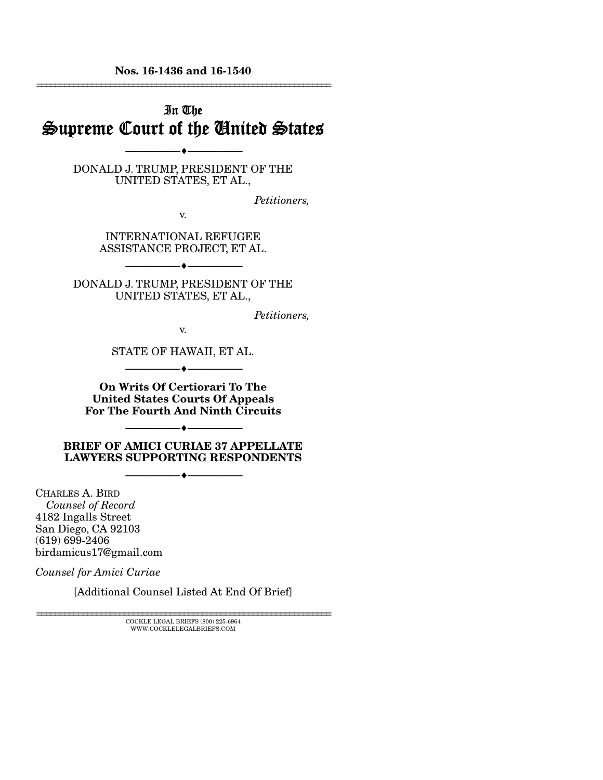Nos. 16-1436 and 16-1540 ================================================================

# In The Supreme Court of the United States

DONALD J. TRUMP, PRESIDENT OF THE UNITED STATES, ET AL.,

--------------------------------- ---------------------------------

*Petitioners,* 

v.

INTERNATIONAL REFUGEE ASSISTANCE PROJECT, ET AL.

--------------------------------- ---------------------------------

DONALD J. TRUMP, PRESIDENT OF THE UNITED STATES, ET AL.,

*Petitioners,* 

v.

STATE OF HAWAII, ET AL.  $\longrightarrow \longrightarrow$ 

On Writs Of Certiorari To The United States Courts Of Appeals For The Fourth And Ninth Circuits

--------------------------------- ---------------------------------

BRIEF OF AMICI CURIAE 37 APPELLATE LAWYERS SUPPORTING RESPONDENTS

--------------------------------- ---------------------------------

CHARLES A. BIRD  *Counsel of Record*  4182 Ingalls Street San Diego, CA 92103 (619) 699-2406 birdamicus17@gmail.com

*Counsel for Amici Curiae* 

[Additional Counsel Listed At End Of Brief]

 ${\rm COCKLE}$ LEGAL BRIEFS (800) 225-6964 WWW.COCKLELEGALBRIEFS.COM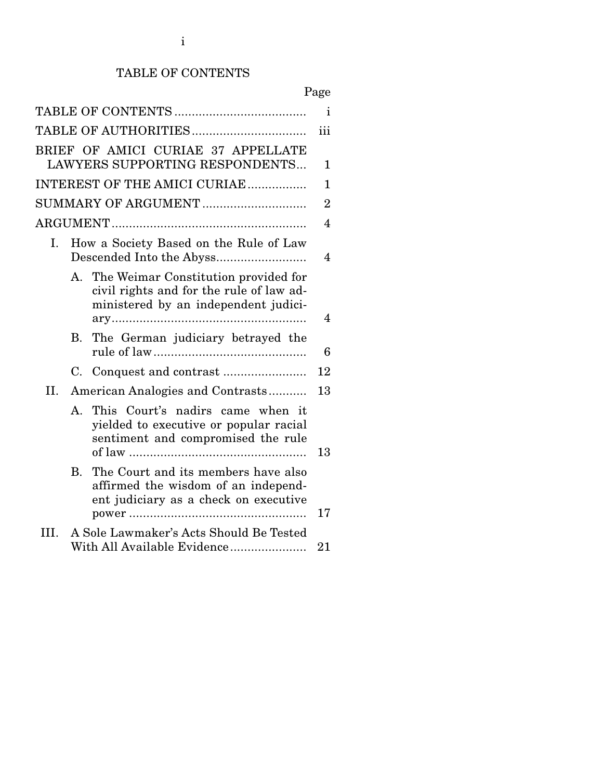## TABLE OF CONTENTS

|      |           |                                                                                                                             | Page           |
|------|-----------|-----------------------------------------------------------------------------------------------------------------------------|----------------|
|      |           |                                                                                                                             | i.             |
|      |           |                                                                                                                             | iii            |
|      |           | BRIEF OF AMICI CURIAE 37 APPELLATE<br>LAWYERS SUPPORTING RESPONDENTS                                                        | $\mathbf 1$    |
|      |           | INTEREST OF THE AMICI CURIAE                                                                                                | 1              |
|      |           | SUMMARY OF ARGUMENT                                                                                                         | $\overline{2}$ |
|      |           |                                                                                                                             | $\overline{4}$ |
| I.   |           | How a Society Based on the Rule of Law                                                                                      | 4              |
|      |           | A. The Weimar Constitution provided for<br>civil rights and for the rule of law ad-<br>ministered by an independent judici- | $\overline{4}$ |
|      | В.        | The German judiciary betrayed the                                                                                           | 6              |
|      | C.        |                                                                                                                             | 12             |
| II.  |           | American Analogies and Contrasts                                                                                            | 13             |
|      | $A_{-}$   | This Court's nadirs came when it<br>yielded to executive or popular racial<br>sentiment and compromised the rule            | 13             |
|      | <b>B.</b> | The Court and its members have also<br>affirmed the wisdom of an independ-<br>ent judiciary as a check on executive         |                |
|      |           |                                                                                                                             | 17             |
| III. |           | A Sole Lawmaker's Acts Should Be Tested<br>With All Available Evidence                                                      | 21             |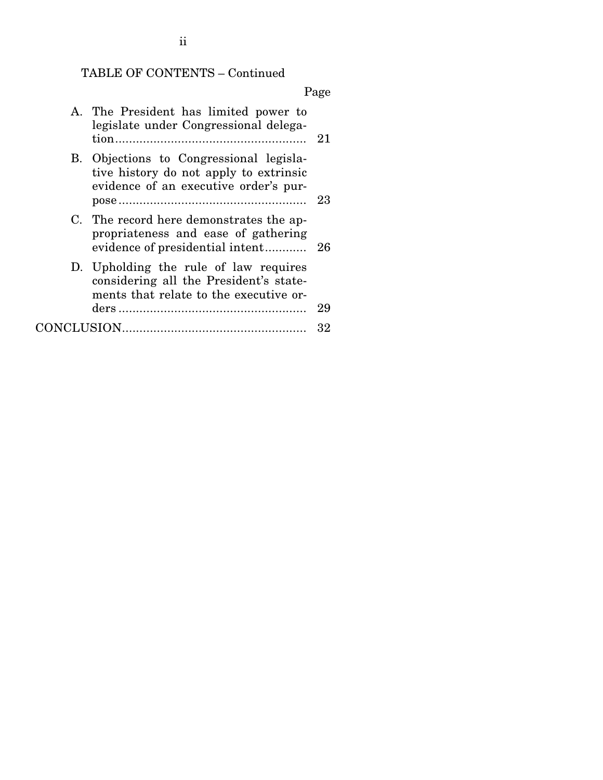# TABLE OF CONTENTS – Continued

## Page

| A. The President has limited power to<br>legislate under Congressional delega-                                             | -21 |
|----------------------------------------------------------------------------------------------------------------------------|-----|
| B. Objections to Congressional legisla-<br>tive history do not apply to extrinsic<br>evidence of an executive order's pur- | 23  |
| C. The record here demonstrates the ap-<br>propriateness and ease of gathering<br>evidence of presidential intent          | -26 |
| D. Upholding the rule of law requires<br>considering all the President's state-<br>ments that relate to the executive or-  |     |
|                                                                                                                            | 29  |
|                                                                                                                            | 32  |

ii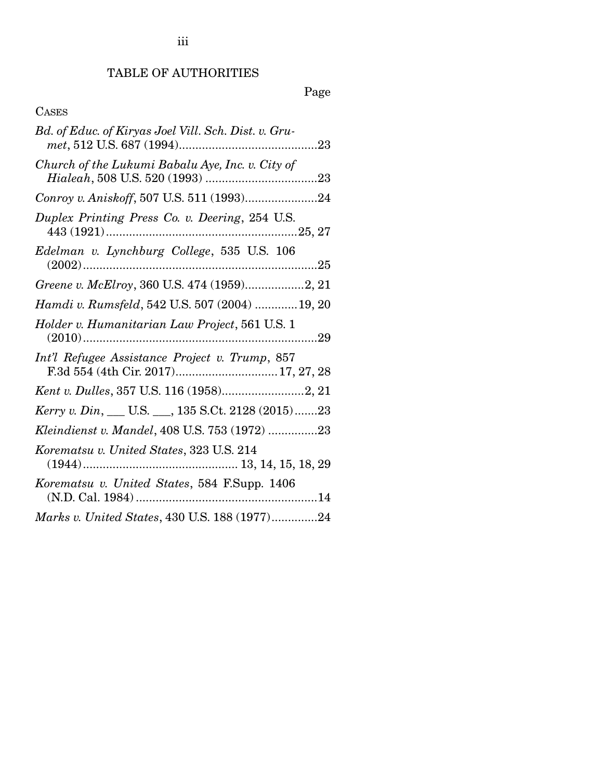## TABLE OF AUTHORITIES

# Page

## CASES

| Bd. of Educ. of Kiryas Joel Vill. Sch. Dist. v. Gru-                                  |
|---------------------------------------------------------------------------------------|
| Church of the Lukumi Babalu Aye, Inc. v. City of                                      |
| Conroy v. Aniskoff, 507 U.S. 511 (1993)24                                             |
| Duplex Printing Press Co. v. Deering, 254 U.S.                                        |
| Edelman v. Lynchburg College, 535 U.S. 106                                            |
| Greene v. McElroy, 360 U.S. 474 (1959)2, 21                                           |
| Hamdi v. Rumsfeld, 542 U.S. 507 (2004)  19, 20                                        |
| Holder v. Humanitarian Law Project, 561 U.S. 1                                        |
| Int'l Refugee Assistance Project v. Trump, 857<br>F.3d 554 (4th Cir. 2017) 17, 27, 28 |
| Kent v. Dulles, 357 U.S. 116 (1958)2, 21                                              |
| Kerry v. Din, __ U.S. __, 135 S.Ct. 2128 (2015)23                                     |
| Kleindienst v. Mandel, 408 U.S. 753 (1972) 23                                         |
| Korematsu v. United States, 323 U.S. 214                                              |
| Korematsu v. United States, 584 F.Supp. 1406                                          |
| Marks v. United States, 430 U.S. 188 (1977)24                                         |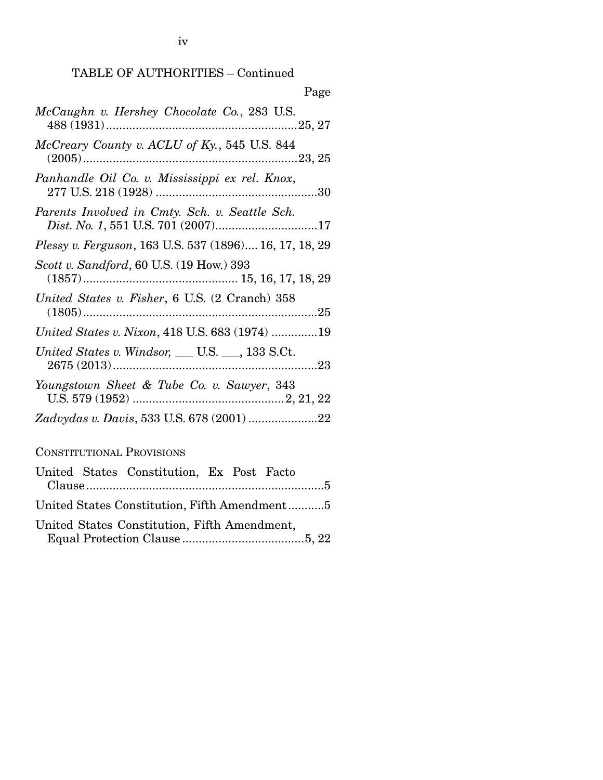TABLE OF AUTHORITIES – Continued

| Page                                                                                 |
|--------------------------------------------------------------------------------------|
| McCaughn v. Hershey Chocolate Co., 283 U.S.                                          |
| McCreary County v. ACLU of Ky., 545 U.S. 844                                         |
| Panhandle Oil Co. v. Mississippi ex rel. Knox,                                       |
| Parents Involved in Cmty. Sch. v. Seattle Sch.<br>Dist. No. 1, 551 U.S. 701 (2007)17 |
| Plessy v. Ferguson, 163 U.S. 537 (1896) 16, 17, 18, 29                               |
| Scott v. Sandford, 60 U.S. (19 How.) 393                                             |
| United States v. Fisher, 6 U.S. (2 Cranch) 358                                       |
| United States v. Nixon, 418 U.S. 683 (1974) 19                                       |
| United States v. Windsor, $\_\_$ U.S. $\_\_$ , 133 S.Ct.                             |
| Youngstown Sheet & Tube Co. v. Sawyer, 343                                           |
|                                                                                      |

CONSTITUTIONAL PROVISIONS

|  | United States Constitution, Ex Post Facto    |  |  |
|--|----------------------------------------------|--|--|
|  |                                              |  |  |
|  | United States Constitution, Fifth Amendment5 |  |  |
|  | United States Constitution, Fifth Amendment, |  |  |
|  |                                              |  |  |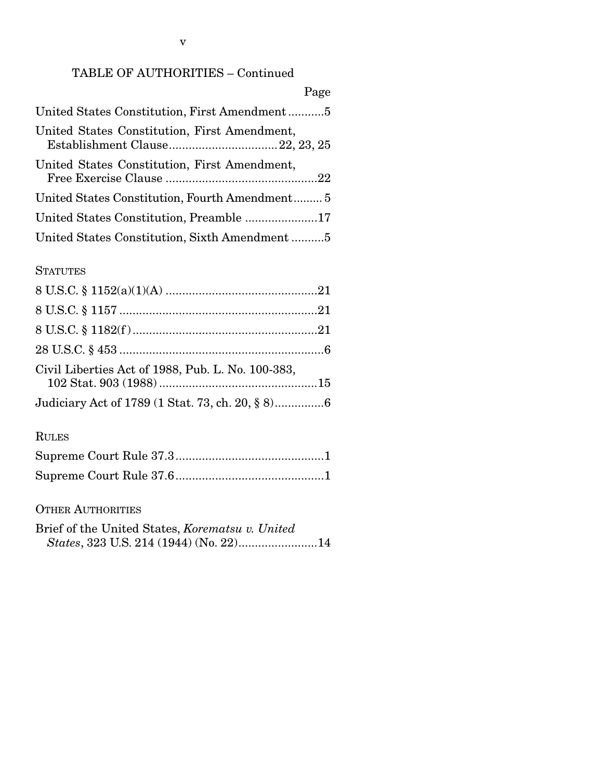## TABLE OF AUTHORITIES – Continued

| Page                                           |
|------------------------------------------------|
| United States Constitution, First Amendment5   |
| United States Constitution, First Amendment,   |
| United States Constitution, First Amendment,   |
| United States Constitution, Fourth Amendment 5 |
|                                                |
| United States Constitution, Sixth Amendment5   |

#### **STATUTES**

| Civil Liberties Act of 1988, Pub. L. No. 100-383, |  |
|---------------------------------------------------|--|
| Judiciary Act of 1789 (1 Stat. 73, ch. 20, § 8)6  |  |

#### RULES

#### OTHER AUTHORITIES

Brief of the United States, *Korematsu v. United States*, 323 U.S. 214 (1944) (No. 22) ........................ 14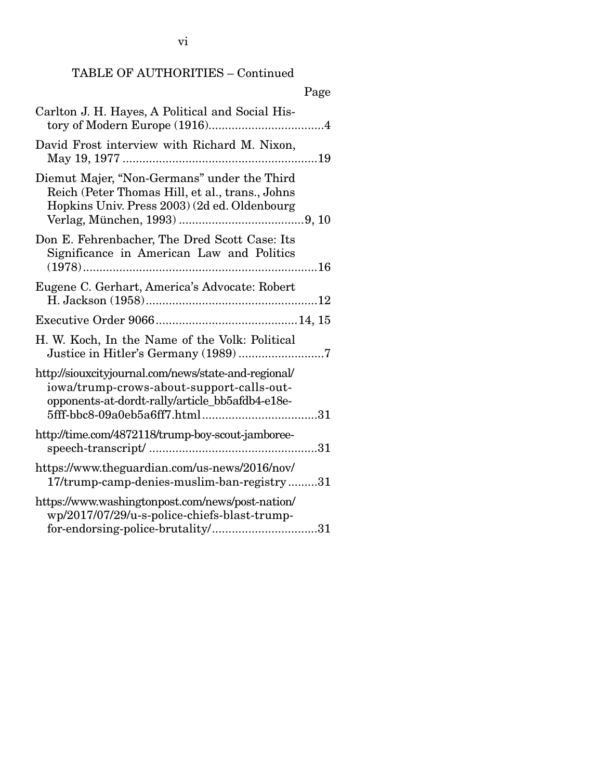vi

| ι ας σ                                                                                                                                               |  |
|------------------------------------------------------------------------------------------------------------------------------------------------------|--|
| Carlton J. H. Hayes, A Political and Social His-                                                                                                     |  |
| David Frost interview with Richard M. Nixon,                                                                                                         |  |
| Diemut Majer, "Non-Germans" under the Third<br>Reich (Peter Thomas Hill, et al., trans., Johns<br>Hopkins Univ. Press 2003) (2d ed. Oldenbourg       |  |
| Don E. Fehrenbacher, The Dred Scott Case: Its<br>Significance in American Law and Politics                                                           |  |
| Eugene C. Gerhart, America's Advocate: Robert                                                                                                        |  |
|                                                                                                                                                      |  |
| H. W. Koch, In the Name of the Volk: Political<br>Justice in Hitler's Germany (1989)7                                                                |  |
| http://siouxcityjournal.com/news/state-and-regional/<br>iowa/trump-crows-about-support-calls-out-<br>opponents-at-dordt-rally/article_bb5afdb4-e18e- |  |
| http://time.com/4872118/trump-boy-scout-jamboree-                                                                                                    |  |
| https://www.theguardian.com/us-news/2016/nov/<br>17/trump-camp-denies-muslim-ban-registry31                                                          |  |
| https://www.washingtonpost.com/news/post-nation/<br>wp/2017/07/29/u-s-police-chiefs-blast-trump-<br>for-endorsing-police-brutality/31                |  |

## Page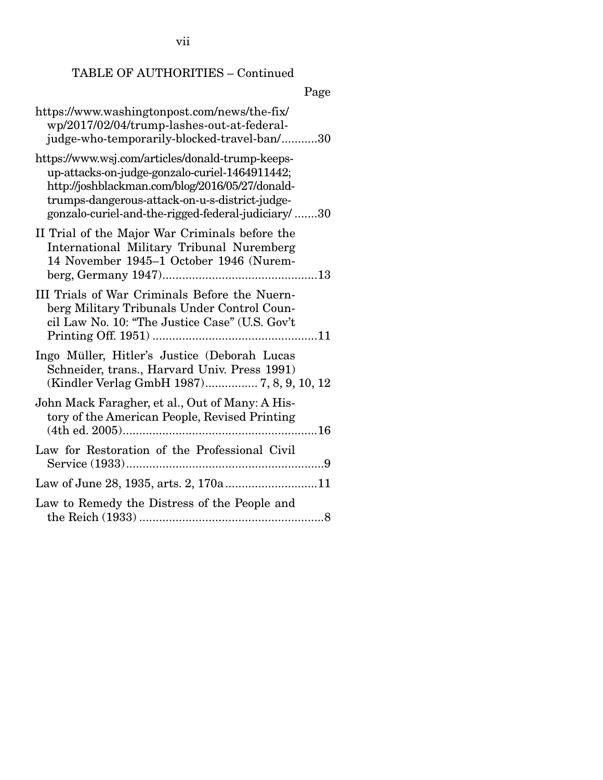vii

## TABLE OF AUTHORITIES – Continued

# Page

| https://www.washingtonpost.com/news/the-fix/<br>wp/2017/02/04/trump-lashes-out-at-federal-<br>judge-who-temporarily-blocked-travel-ban/30                                                                                                                     |
|---------------------------------------------------------------------------------------------------------------------------------------------------------------------------------------------------------------------------------------------------------------|
| https://www.wsj.com/articles/donald-trump-keeps-<br>up-attacks-on-judge-gonzalo-curiel-1464911442;<br>http://joshblackman.com/blog/2016/05/27/donald-<br>trumps-dangerous-attack-on-u-s-district-judge-<br>gonzalo-curiel-and-the-rigged-federal-judiciary/30 |
| II Trial of the Major War Criminals before the<br>International Military Tribunal Nuremberg<br>14 November 1945-1 October 1946 (Nurem-                                                                                                                        |
| III Trials of War Criminals Before the Nuern-<br>berg Military Tribunals Under Control Coun-<br>cil Law No. 10: "The Justice Case" (U.S. Gov't                                                                                                                |
| Ingo Müller, Hitler's Justice (Deborah Lucas<br>Schneider, trans., Harvard Univ. Press 1991)<br>(Kindler Verlag GmbH 1987) 7, 8, 9, 10, 12                                                                                                                    |
| John Mack Faragher, et al., Out of Many: A His-<br>tory of the American People, Revised Printing                                                                                                                                                              |
| Law for Restoration of the Professional Civil                                                                                                                                                                                                                 |
| Law of June 28, 1935, arts. 2, 170a 11                                                                                                                                                                                                                        |
| Law to Remedy the Distress of the People and                                                                                                                                                                                                                  |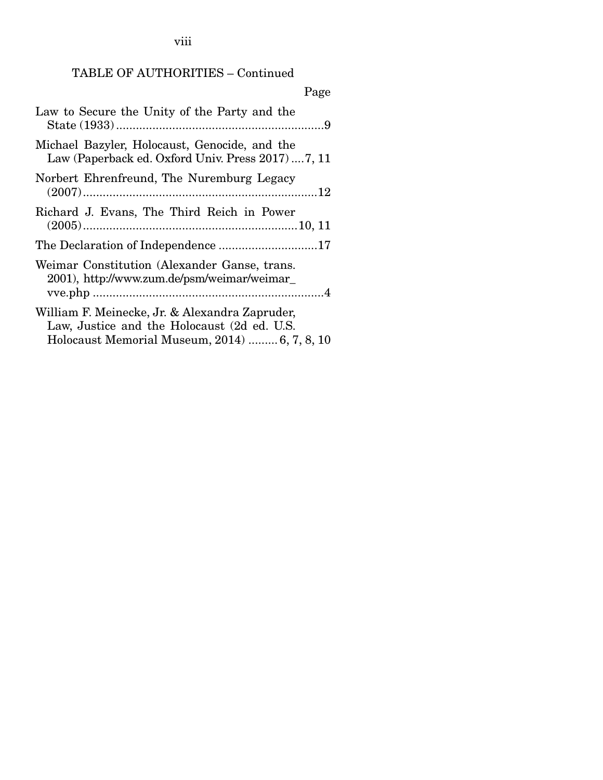viii

## TABLE OF AUTHORITIES – Continued

| Page                                                                                                                                           |
|------------------------------------------------------------------------------------------------------------------------------------------------|
| Law to Secure the Unity of the Party and the                                                                                                   |
| Michael Bazyler, Holocaust, Genocide, and the<br>Law (Paperback ed. Oxford Univ. Press 2017)7, 11                                              |
| Norbert Ehrenfreund, The Nuremburg Legacy                                                                                                      |
| Richard J. Evans, The Third Reich in Power                                                                                                     |
|                                                                                                                                                |
| Weimar Constitution (Alexander Ganse, trans.<br>2001), http://www.zum.de/psm/weimar/weimar_                                                    |
| William F. Meinecke, Jr. & Alexandra Zapruder,<br>Law, Justice and the Holocaust (2d ed. U.S.<br>Holocaust Memorial Museum, 2014)  6, 7, 8, 10 |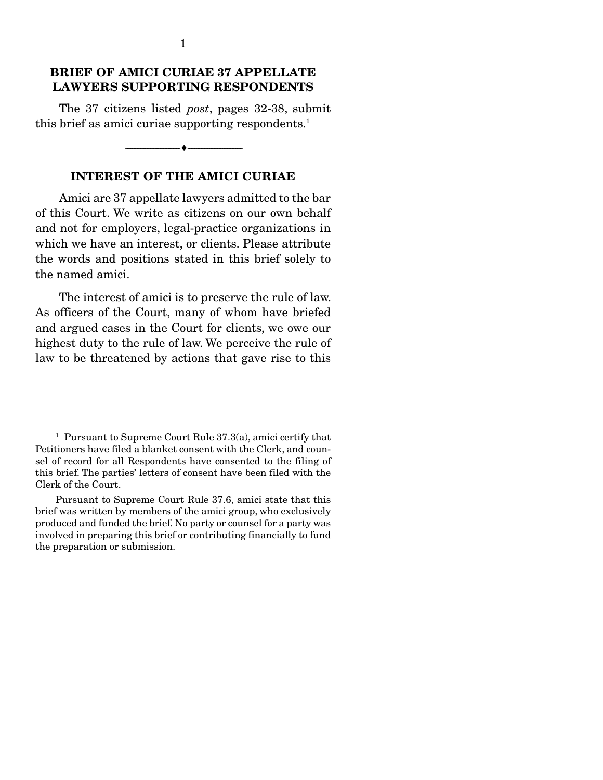### BRIEF OF AMICI CURIAE 37 APPELLATE LAWYERS SUPPORTING RESPONDENTS

 The 37 citizens listed *post*, pages 32-38, submit this brief as amici curiae supporting respondents.<sup>1</sup>

--------------------------------- ---------------------------------

### INTEREST OF THE AMICI CURIAE

 Amici are 37 appellate lawyers admitted to the bar of this Court. We write as citizens on our own behalf and not for employers, legal-practice organizations in which we have an interest, or clients. Please attribute the words and positions stated in this brief solely to the named amici.

 The interest of amici is to preserve the rule of law. As officers of the Court, many of whom have briefed and argued cases in the Court for clients, we owe our highest duty to the rule of law. We perceive the rule of law to be threatened by actions that gave rise to this

<sup>&</sup>lt;sup>1</sup> Pursuant to Supreme Court Rule 37.3(a), amici certify that Petitioners have filed a blanket consent with the Clerk, and counsel of record for all Respondents have consented to the filing of this brief. The parties' letters of consent have been filed with the Clerk of the Court.

Pursuant to Supreme Court Rule 37.6, amici state that this brief was written by members of the amici group, who exclusively produced and funded the brief. No party or counsel for a party was involved in preparing this brief or contributing financially to fund the preparation or submission.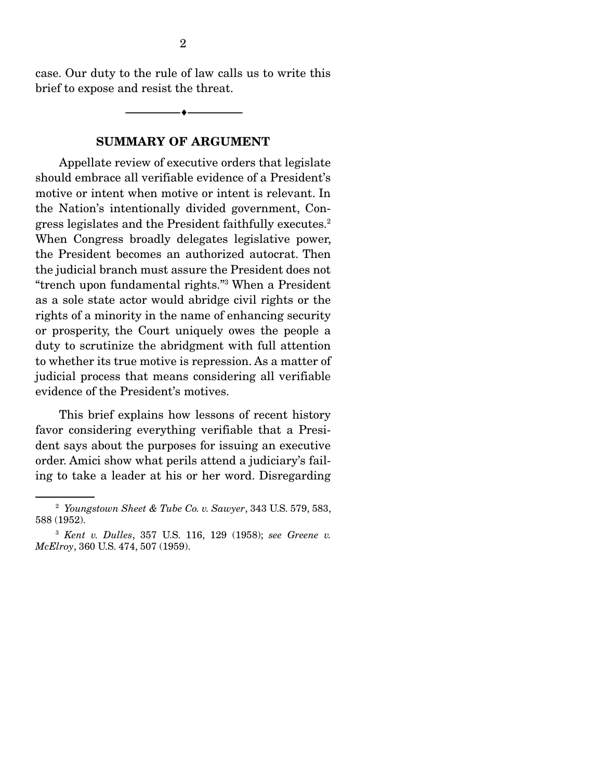case. Our duty to the rule of law calls us to write this brief to expose and resist the threat.

--------------------------------- ---------------------------------

#### SUMMARY OF ARGUMENT

 Appellate review of executive orders that legislate should embrace all verifiable evidence of a President's motive or intent when motive or intent is relevant. In the Nation's intentionally divided government, Congress legislates and the President faithfully executes.2 When Congress broadly delegates legislative power, the President becomes an authorized autocrat. Then the judicial branch must assure the President does not "trench upon fundamental rights."3 When a President as a sole state actor would abridge civil rights or the rights of a minority in the name of enhancing security or prosperity, the Court uniquely owes the people a duty to scrutinize the abridgment with full attention to whether its true motive is repression. As a matter of judicial process that means considering all verifiable evidence of the President's motives.

 This brief explains how lessons of recent history favor considering everything verifiable that a President says about the purposes for issuing an executive order. Amici show what perils attend a judiciary's failing to take a leader at his or her word. Disregarding

<sup>2</sup> *Youngstown Sheet & Tube Co. v. Sawyer*, 343 U.S. 579, 583, 588 (1952).

<sup>3</sup> *Kent v. Dulles*, 357 U.S. 116, 129 (1958); *see Greene v. McElroy*, 360 U.S. 474, 507 (1959).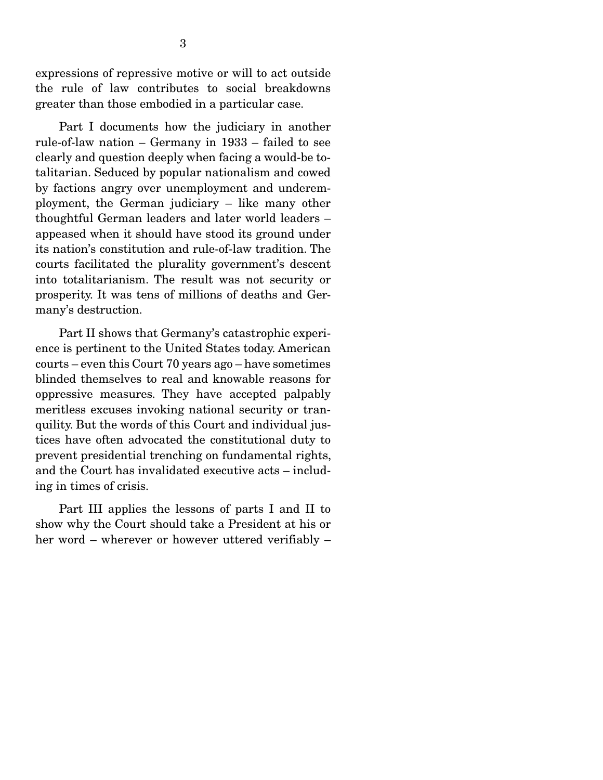expressions of repressive motive or will to act outside the rule of law contributes to social breakdowns greater than those embodied in a particular case.

 Part I documents how the judiciary in another rule-of-law nation – Germany in 1933 – failed to see clearly and question deeply when facing a would-be totalitarian. Seduced by popular nationalism and cowed by factions angry over unemployment and underemployment, the German judiciary – like many other thoughtful German leaders and later world leaders – appeased when it should have stood its ground under its nation's constitution and rule-of-law tradition. The courts facilitated the plurality government's descent into totalitarianism. The result was not security or prosperity. It was tens of millions of deaths and Germany's destruction.

 Part II shows that Germany's catastrophic experience is pertinent to the United States today. American courts – even this Court 70 years ago – have sometimes blinded themselves to real and knowable reasons for oppressive measures. They have accepted palpably meritless excuses invoking national security or tranquility. But the words of this Court and individual justices have often advocated the constitutional duty to prevent presidential trenching on fundamental rights, and the Court has invalidated executive acts – including in times of crisis.

 Part III applies the lessons of parts I and II to show why the Court should take a President at his or her word – wherever or however uttered verifiably –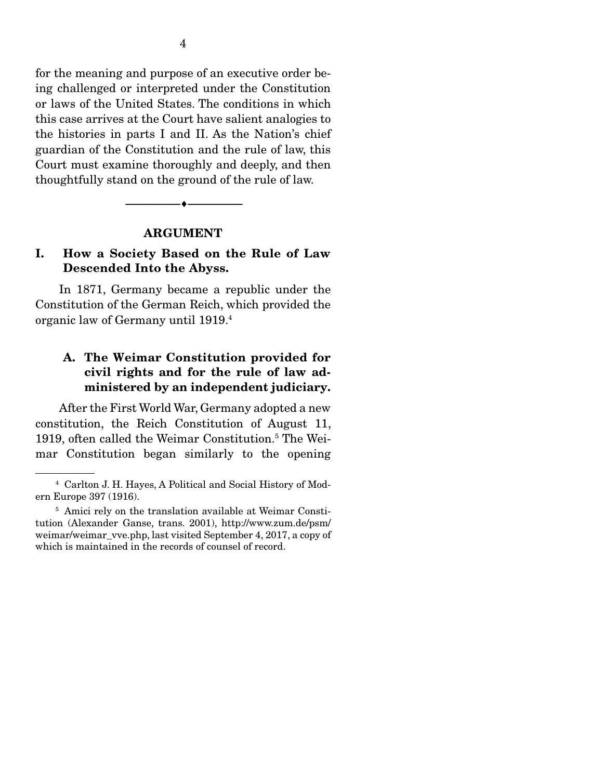for the meaning and purpose of an executive order being challenged or interpreted under the Constitution or laws of the United States. The conditions in which this case arrives at the Court have salient analogies to the histories in parts I and II. As the Nation's chief guardian of the Constitution and the rule of law, this Court must examine thoroughly and deeply, and then thoughtfully stand on the ground of the rule of law.

#### ARGUMENT

--------------------------------- ---------------------------------

### I. How a Society Based on the Rule of Law Descended Into the Abyss.

 In 1871, Germany became a republic under the Constitution of the German Reich, which provided the organic law of Germany until 1919.4

## A. The Weimar Constitution provided for civil rights and for the rule of law administered by an independent judiciary.

 After the First World War, Germany adopted a new constitution, the Reich Constitution of August 11, 1919, often called the Weimar Constitution.<sup>5</sup> The Weimar Constitution began similarly to the opening

<sup>4</sup> Carlton J. H. Hayes, A Political and Social History of Modern Europe 397 (1916).

<sup>&</sup>lt;sup>5</sup> Amici rely on the translation available at Weimar Constitution (Alexander Ganse, trans. 2001), http://www.zum.de/psm/ weimar/weimar\_vve.php, last visited September 4, 2017, a copy of which is maintained in the records of counsel of record.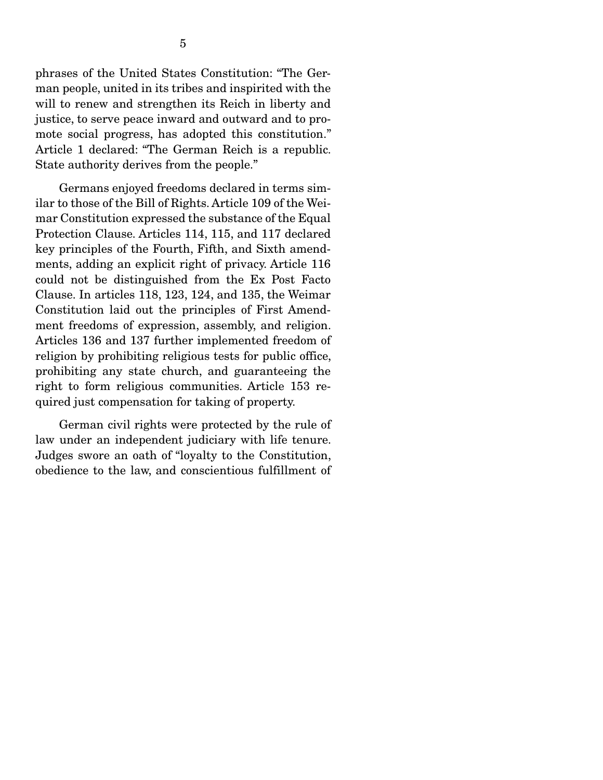phrases of the United States Constitution: "The German people, united in its tribes and inspirited with the will to renew and strengthen its Reich in liberty and justice, to serve peace inward and outward and to promote social progress, has adopted this constitution." Article 1 declared: "The German Reich is a republic. State authority derives from the people."

 Germans enjoyed freedoms declared in terms similar to those of the Bill of Rights. Article 109 of the Weimar Constitution expressed the substance of the Equal Protection Clause. Articles 114, 115, and 117 declared key principles of the Fourth, Fifth, and Sixth amendments, adding an explicit right of privacy. Article 116 could not be distinguished from the Ex Post Facto Clause. In articles 118, 123, 124, and 135, the Weimar Constitution laid out the principles of First Amendment freedoms of expression, assembly, and religion. Articles 136 and 137 further implemented freedom of religion by prohibiting religious tests for public office, prohibiting any state church, and guaranteeing the right to form religious communities. Article 153 required just compensation for taking of property.

 German civil rights were protected by the rule of law under an independent judiciary with life tenure. Judges swore an oath of "loyalty to the Constitution, obedience to the law, and conscientious fulfillment of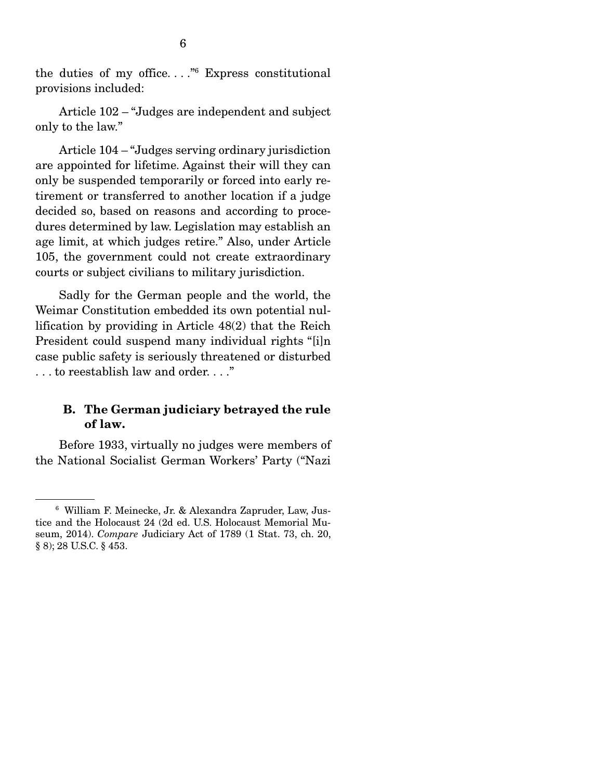the duties of my office. . . ."6 Express constitutional provisions included:

 Article 102 – "Judges are independent and subject only to the law."

 Article 104 – "Judges serving ordinary jurisdiction are appointed for lifetime. Against their will they can only be suspended temporarily or forced into early retirement or transferred to another location if a judge decided so, based on reasons and according to procedures determined by law. Legislation may establish an age limit, at which judges retire." Also, under Article 105, the government could not create extraordinary courts or subject civilians to military jurisdiction.

 Sadly for the German people and the world, the Weimar Constitution embedded its own potential nullification by providing in Article 48(2) that the Reich President could suspend many individual rights "[i]n case public safety is seriously threatened or disturbed . . . to reestablish law and order. . . ."

#### B. The German judiciary betrayed the rule of law.

 Before 1933, virtually no judges were members of the National Socialist German Workers' Party ("Nazi

<sup>6</sup> William F. Meinecke, Jr. & Alexandra Zapruder, Law, Justice and the Holocaust 24 (2d ed. U.S. Holocaust Memorial Museum, 2014). *Compare* Judiciary Act of 1789 (1 Stat. 73, ch. 20, § 8); 28 U.S.C. § 453.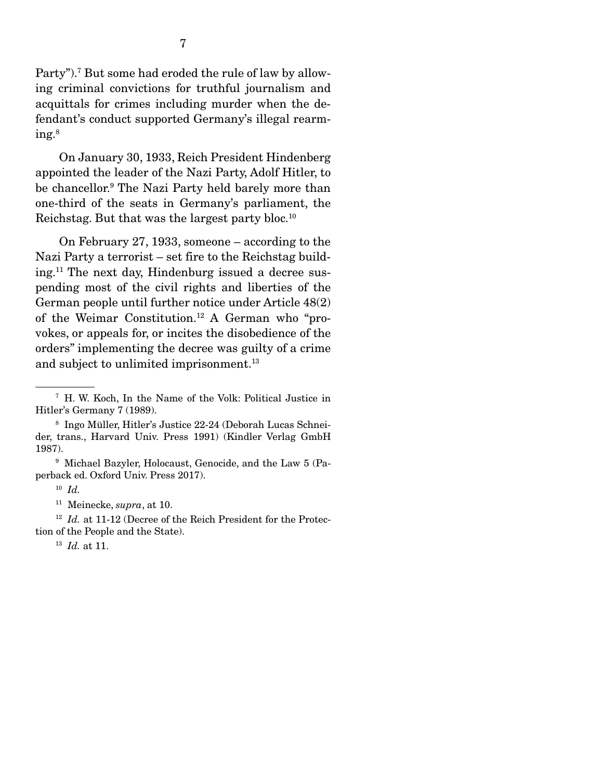Party").<sup>7</sup> But some had eroded the rule of law by allowing criminal convictions for truthful journalism and acquittals for crimes including murder when the defendant's conduct supported Germany's illegal rearming.8

 On January 30, 1933, Reich President Hindenberg appointed the leader of the Nazi Party, Adolf Hitler, to be chancellor.9 The Nazi Party held barely more than one-third of the seats in Germany's parliament, the Reichstag. But that was the largest party bloc.10

 On February 27, 1933, someone – according to the Nazi Party a terrorist – set fire to the Reichstag building.11 The next day, Hindenburg issued a decree suspending most of the civil rights and liberties of the German people until further notice under Article 48(2) of the Weimar Constitution.12 A German who "provokes, or appeals for, or incites the disobedience of the orders" implementing the decree was guilty of a crime and subject to unlimited imprisonment.<sup>13</sup>

<sup>12</sup> *Id.* at 11-12 (Decree of the Reich President for the Protection of the People and the State).

<sup>13</sup> *Id.* at 11.

<sup>7</sup> H. W. Koch, In the Name of the Volk: Political Justice in Hitler's Germany 7 (1989).

<sup>8</sup> Ingo Müller, Hitler's Justice 22-24 (Deborah Lucas Schneider, trans., Harvard Univ. Press 1991) (Kindler Verlag GmbH 1987).

<sup>9</sup> Michael Bazyler, Holocaust, Genocide, and the Law 5 (Paperback ed. Oxford Univ. Press 2017).

<sup>10</sup> *Id.*

<sup>11</sup> Meinecke, *supra*, at 10.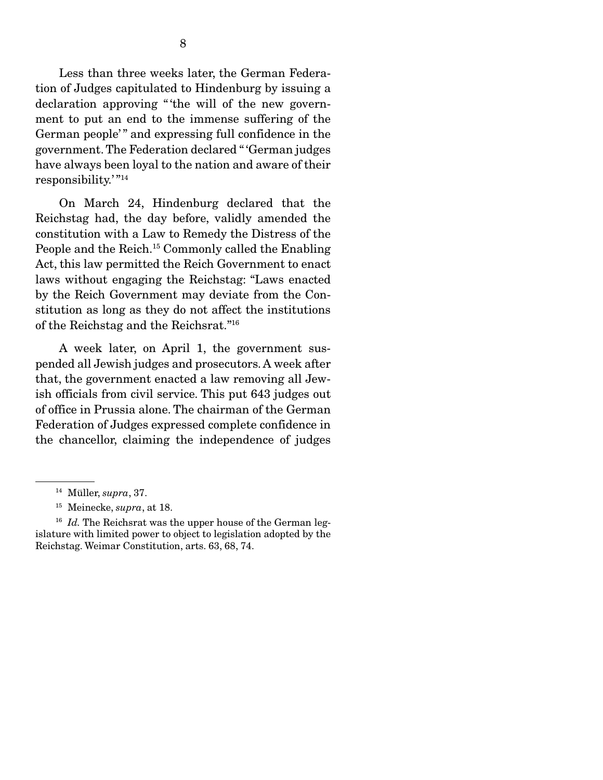Less than three weeks later, the German Federation of Judges capitulated to Hindenburg by issuing a declaration approving "the will of the new government to put an end to the immense suffering of the German people'" and expressing full confidence in the government. The Federation declared " 'German judges have always been loyal to the nation and aware of their responsibility.'"<sup>14</sup>

 On March 24, Hindenburg declared that the Reichstag had, the day before, validly amended the constitution with a Law to Remedy the Distress of the People and the Reich.<sup>15</sup> Commonly called the Enabling Act, this law permitted the Reich Government to enact laws without engaging the Reichstag: "Laws enacted by the Reich Government may deviate from the Constitution as long as they do not affect the institutions of the Reichstag and the Reichsrat."16

 A week later, on April 1, the government suspended all Jewish judges and prosecutors. A week after that, the government enacted a law removing all Jewish officials from civil service. This put 643 judges out of office in Prussia alone. The chairman of the German Federation of Judges expressed complete confidence in the chancellor, claiming the independence of judges

<sup>14</sup> Müller, *supra*, 37.

<sup>15</sup> Meinecke, *supra*, at 18.

<sup>&</sup>lt;sup>16</sup> *Id.* The Reichsrat was the upper house of the German legislature with limited power to object to legislation adopted by the Reichstag. Weimar Constitution, arts. 63, 68, 74.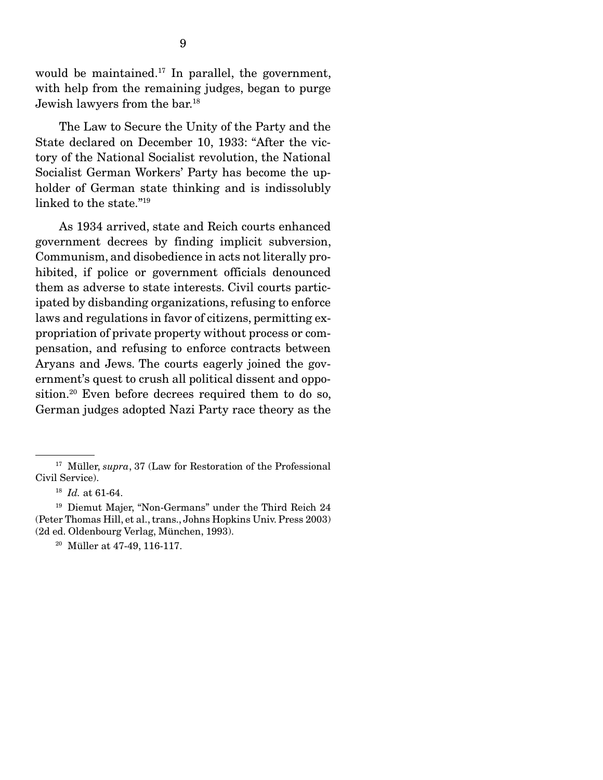would be maintained.<sup>17</sup> In parallel, the government, with help from the remaining judges, began to purge Jewish lawyers from the bar.18

 The Law to Secure the Unity of the Party and the State declared on December 10, 1933: "After the victory of the National Socialist revolution, the National Socialist German Workers' Party has become the upholder of German state thinking and is indissolubly linked to the state."19

 As 1934 arrived, state and Reich courts enhanced government decrees by finding implicit subversion, Communism, and disobedience in acts not literally prohibited, if police or government officials denounced them as adverse to state interests. Civil courts participated by disbanding organizations, refusing to enforce laws and regulations in favor of citizens, permitting expropriation of private property without process or compensation, and refusing to enforce contracts between Aryans and Jews. The courts eagerly joined the government's quest to crush all political dissent and opposition.20 Even before decrees required them to do so, German judges adopted Nazi Party race theory as the

<sup>&</sup>lt;sup>17</sup> Müller, *supra*, 37 (Law for Restoration of the Professional Civil Service).

<sup>18</sup> *Id.* at 61-64.

<sup>19</sup> Diemut Majer, "Non-Germans" under the Third Reich 24 (Peter Thomas Hill, et al., trans., Johns Hopkins Univ. Press 2003) (2d ed. Oldenbourg Verlag, München, 1993).

<sup>20</sup> Müller at 47-49, 116-117.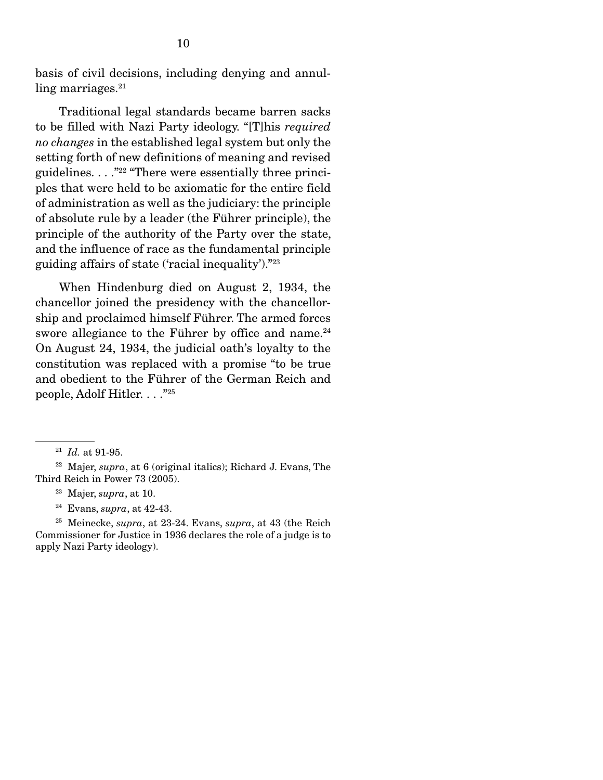basis of civil decisions, including denying and annulling marriages.<sup>21</sup>

 Traditional legal standards became barren sacks to be filled with Nazi Party ideology. "[T]his *required no changes* in the established legal system but only the setting forth of new definitions of meaning and revised guidelines.  $\ldots$ <sup>"22</sup> "There were essentially three principles that were held to be axiomatic for the entire field of administration as well as the judiciary: the principle of absolute rule by a leader (the Führer principle), the principle of the authority of the Party over the state, and the influence of race as the fundamental principle guiding affairs of state ('racial inequality')."23

 When Hindenburg died on August 2, 1934, the chancellor joined the presidency with the chancellorship and proclaimed himself Führer. The armed forces swore allegiance to the Führer by office and name. $^{24}$ On August 24, 1934, the judicial oath's loyalty to the constitution was replaced with a promise "to be true and obedient to the Führer of the German Reich and people, Adolf Hitler. . . ."25

<sup>21</sup> *Id.* at 91-95.

<sup>22</sup> Majer, *supra*, at 6 (original italics); Richard J. Evans, The Third Reich in Power 73 (2005).

<sup>23</sup> Majer, *supra*, at 10.

<sup>24</sup> Evans, *supra*, at 42-43.

<sup>25</sup> Meinecke, *supra*, at 23-24. Evans, *supra*, at 43 (the Reich Commissioner for Justice in 1936 declares the role of a judge is to apply Nazi Party ideology).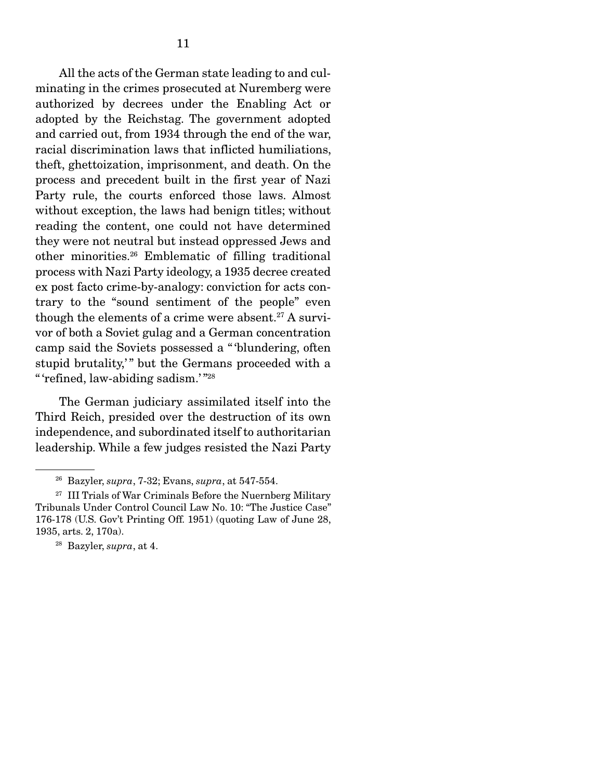All the acts of the German state leading to and culminating in the crimes prosecuted at Nuremberg were authorized by decrees under the Enabling Act or adopted by the Reichstag. The government adopted and carried out, from 1934 through the end of the war, racial discrimination laws that inflicted humiliations, theft, ghettoization, imprisonment, and death. On the process and precedent built in the first year of Nazi Party rule, the courts enforced those laws. Almost without exception, the laws had benign titles; without reading the content, one could not have determined they were not neutral but instead oppressed Jews and other minorities.26 Emblematic of filling traditional process with Nazi Party ideology, a 1935 decree created ex post facto crime-by-analogy: conviction for acts contrary to the "sound sentiment of the people" even though the elements of a crime were absent.<sup>27</sup> A survivor of both a Soviet gulag and a German concentration camp said the Soviets possessed a " 'blundering, often stupid brutality," but the Germans proceeded with a " 'refined, law-abiding sadism.' "28

 The German judiciary assimilated itself into the Third Reich, presided over the destruction of its own independence, and subordinated itself to authoritarian leadership. While a few judges resisted the Nazi Party

<sup>26</sup> Bazyler, *supra*, 7-32; Evans, *supra*, at 547-554.

<sup>&</sup>lt;sup>27</sup> III Trials of War Criminals Before the Nuernberg Military Tribunals Under Control Council Law No. 10: "The Justice Case" 176-178 (U.S. Gov't Printing Off. 1951) (quoting Law of June 28, 1935, arts. 2, 170a).

<sup>28</sup> Bazyler, *supra*, at 4.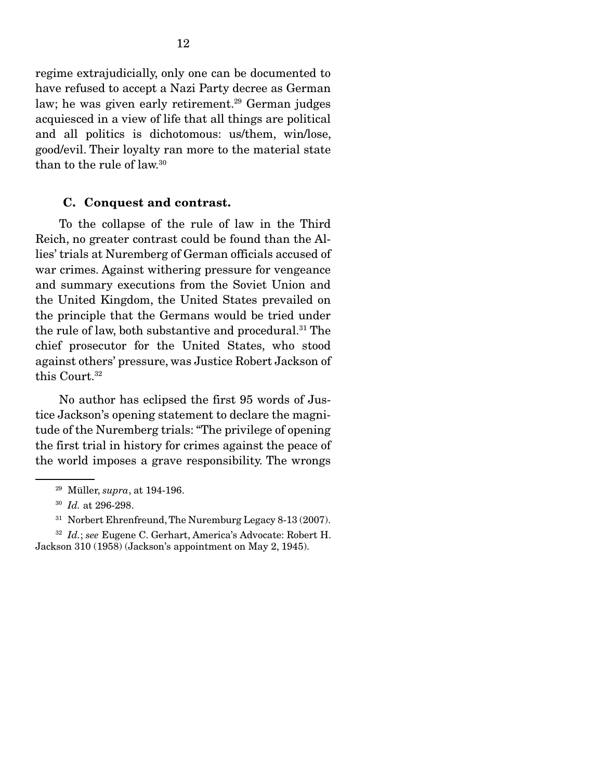regime extrajudicially, only one can be documented to have refused to accept a Nazi Party decree as German law; he was given early retirement.<sup>29</sup> German judges acquiesced in a view of life that all things are political and all politics is dichotomous: us/them, win/lose, good/evil. Their loyalty ran more to the material state than to the rule of law.30

#### C. Conquest and contrast.

 To the collapse of the rule of law in the Third Reich, no greater contrast could be found than the Allies' trials at Nuremberg of German officials accused of war crimes. Against withering pressure for vengeance and summary executions from the Soviet Union and the United Kingdom, the United States prevailed on the principle that the Germans would be tried under the rule of law, both substantive and procedural.31 The chief prosecutor for the United States, who stood against others' pressure, was Justice Robert Jackson of this Court.<sup>32</sup>

 No author has eclipsed the first 95 words of Justice Jackson's opening statement to declare the magnitude of the Nuremberg trials: "The privilege of opening the first trial in history for crimes against the peace of the world imposes a grave responsibility. The wrongs

<sup>29</sup> Müller, *supra*, at 194-196.

<sup>30</sup> *Id.* at 296-298.

<sup>31</sup> Norbert Ehrenfreund, The Nuremburg Legacy 8-13 (2007).

<sup>32</sup> *Id.*; *see* Eugene C. Gerhart, America's Advocate: Robert H. Jackson 310 (1958) (Jackson's appointment on May 2, 1945).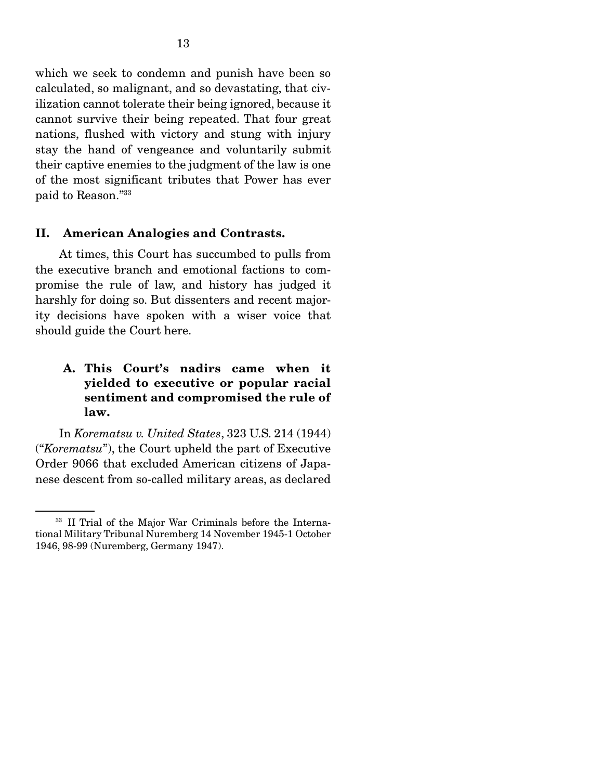which we seek to condemn and punish have been so calculated, so malignant, and so devastating, that civilization cannot tolerate their being ignored, because it cannot survive their being repeated. That four great nations, flushed with victory and stung with injury stay the hand of vengeance and voluntarily submit their captive enemies to the judgment of the law is one of the most significant tributes that Power has ever paid to Reason."33

#### II. American Analogies and Contrasts.

 At times, this Court has succumbed to pulls from the executive branch and emotional factions to compromise the rule of law, and history has judged it harshly for doing so. But dissenters and recent majority decisions have spoken with a wiser voice that should guide the Court here.

## A. This Court's nadirs came when it yielded to executive or popular racial sentiment and compromised the rule of law.

 In *Korematsu v. United States*, 323 U.S. 214 (1944) ("*Korematsu*"), the Court upheld the part of Executive Order 9066 that excluded American citizens of Japanese descent from so-called military areas, as declared

<sup>33</sup> II Trial of the Major War Criminals before the International Military Tribunal Nuremberg 14 November 1945-1 October 1946, 98-99 (Nuremberg, Germany 1947).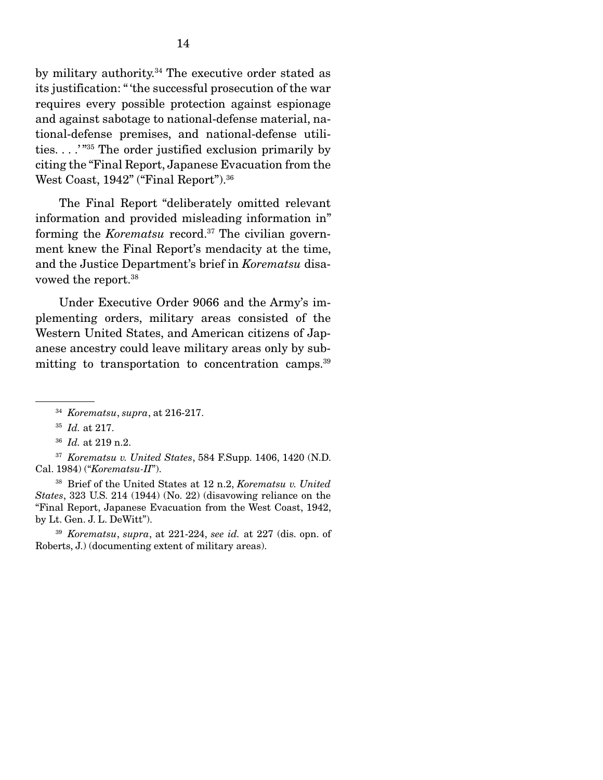by military authority.<sup>34</sup> The executive order stated as its justification: " 'the successful prosecution of the war requires every possible protection against espionage and against sabotage to national-defense material, national-defense premises, and national-defense utilities. . . .' "35 The order justified exclusion primarily by citing the "Final Report, Japanese Evacuation from the West Coast, 1942" ("Final Report").<sup>36</sup>

 The Final Report "deliberately omitted relevant information and provided misleading information in" forming the *Korematsu* record.37 The civilian government knew the Final Report's mendacity at the time, and the Justice Department's brief in *Korematsu* disavowed the report.38

 Under Executive Order 9066 and the Army's implementing orders, military areas consisted of the Western United States, and American citizens of Japanese ancestry could leave military areas only by submitting to transportation to concentration camps.<sup>39</sup>

38 Brief of the United States at 12 n.2, *Korematsu v. United States*, 323 U.S. 214 (1944) (No. 22) (disavowing reliance on the "Final Report, Japanese Evacuation from the West Coast, 1942, by Lt. Gen. J. L. DeWitt").

<sup>39</sup> *Korematsu*, *supra*, at 221-224, *see id.* at 227 (dis. opn. of Roberts, J.) (documenting extent of military areas).

<sup>34</sup> *Korematsu*, *supra*, at 216-217.

<sup>35</sup> *Id.* at 217.

<sup>36</sup> *Id.* at 219 n.2.

<sup>37</sup> *Korematsu v. United States*, 584 F.Supp. 1406, 1420 (N.D. Cal. 1984) ("*Korematsu-II*").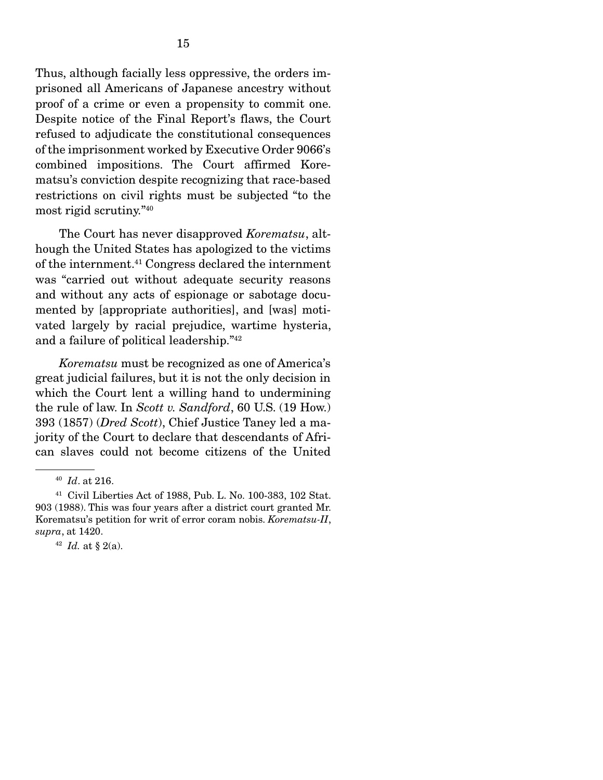Thus, although facially less oppressive, the orders imprisoned all Americans of Japanese ancestry without proof of a crime or even a propensity to commit one. Despite notice of the Final Report's flaws, the Court refused to adjudicate the constitutional consequences of the imprisonment worked by Executive Order 9066's combined impositions. The Court affirmed Korematsu's conviction despite recognizing that race-based restrictions on civil rights must be subjected "to the most rigid scrutiny."40

 The Court has never disapproved *Korematsu*, although the United States has apologized to the victims of the internment.41 Congress declared the internment was "carried out without adequate security reasons and without any acts of espionage or sabotage documented by [appropriate authorities], and [was] motivated largely by racial prejudice, wartime hysteria, and a failure of political leadership."42

*Korematsu* must be recognized as one of America's great judicial failures, but it is not the only decision in which the Court lent a willing hand to undermining the rule of law. In *Scott v. Sandford*, 60 U.S. (19 How.) 393 (1857) (*Dred Scott*), Chief Justice Taney led a majority of the Court to declare that descendants of African slaves could not become citizens of the United

<sup>40</sup> *Id*. at 216.

<sup>41</sup> Civil Liberties Act of 1988, Pub. L. No. 100-383, 102 Stat. 903 (1988). This was four years after a district court granted Mr. Korematsu's petition for writ of error coram nobis. *Korematsu-II*, *supra*, at 1420.

<sup>42</sup> *Id.* at § 2(a).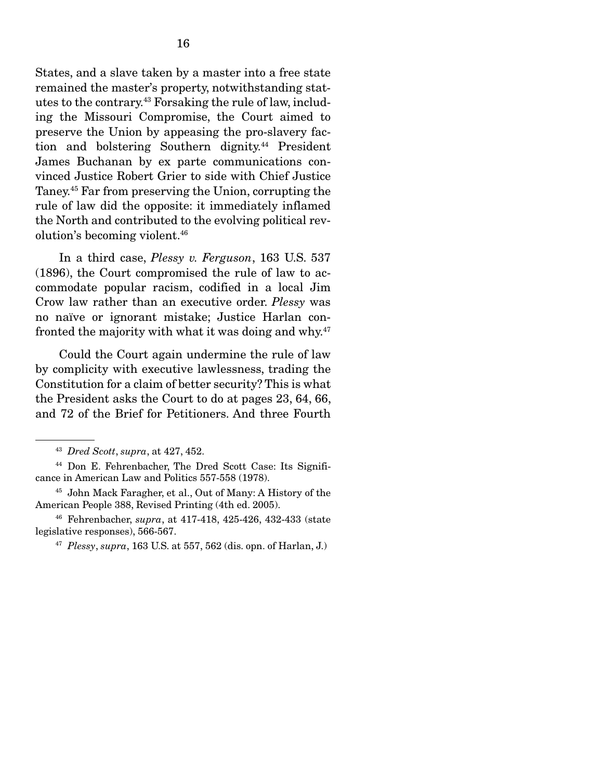States, and a slave taken by a master into a free state remained the master's property, notwithstanding statutes to the contrary.43 Forsaking the rule of law, including the Missouri Compromise, the Court aimed to preserve the Union by appeasing the pro-slavery faction and bolstering Southern dignity.<sup>44</sup> President James Buchanan by ex parte communications convinced Justice Robert Grier to side with Chief Justice Taney.45 Far from preserving the Union, corrupting the rule of law did the opposite: it immediately inflamed the North and contributed to the evolving political revolution's becoming violent.46

 In a third case, *Plessy v. Ferguson*, 163 U.S. 537 (1896), the Court compromised the rule of law to accommodate popular racism, codified in a local Jim Crow law rather than an executive order. *Plessy* was no naïve or ignorant mistake; Justice Harlan confronted the majority with what it was doing and why.47

 Could the Court again undermine the rule of law by complicity with executive lawlessness, trading the Constitution for a claim of better security? This is what the President asks the Court to do at pages 23, 64, 66, and 72 of the Brief for Petitioners. And three Fourth

45 John Mack Faragher, et al., Out of Many: A History of the American People 388, Revised Printing (4th ed. 2005).

46 Fehrenbacher, *supra*, at 417-418, 425-426, 432-433 (state legislative responses), 566-567.

<sup>47</sup> *Plessy*, *supra*, 163 U.S. at 557, 562 (dis. opn. of Harlan, J.)

<sup>43</sup> *Dred Scott*, *supra*, at 427, 452.

<sup>44</sup> Don E. Fehrenbacher, The Dred Scott Case: Its Significance in American Law and Politics 557-558 (1978).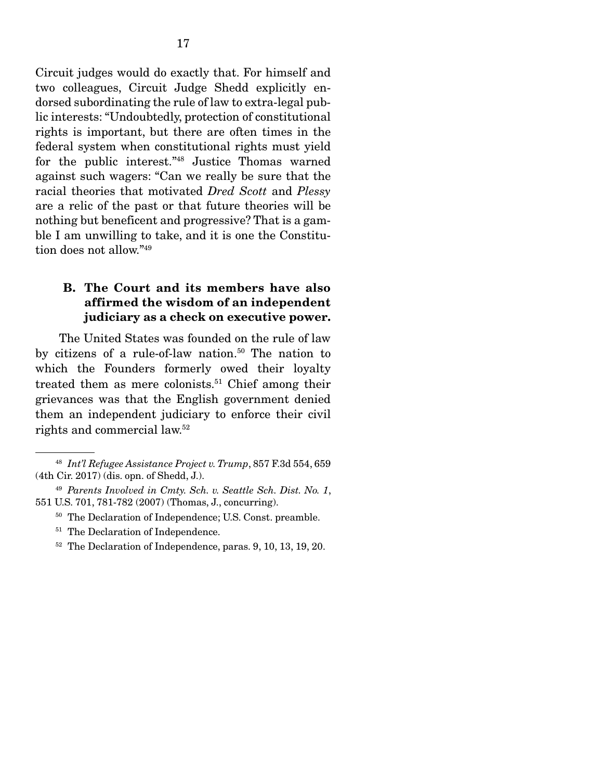Circuit judges would do exactly that. For himself and two colleagues, Circuit Judge Shedd explicitly endorsed subordinating the rule of law to extra-legal public interests: "Undoubtedly, protection of constitutional rights is important, but there are often times in the federal system when constitutional rights must yield for the public interest."48 Justice Thomas warned against such wagers: "Can we really be sure that the racial theories that motivated *Dred Scott* and *Plessy* are a relic of the past or that future theories will be nothing but beneficent and progressive? That is a gamble I am unwilling to take, and it is one the Constitution does not allow."49

## B. The Court and its members have also affirmed the wisdom of an independent judiciary as a check on executive power.

 The United States was founded on the rule of law by citizens of a rule-of-law nation.<sup>50</sup> The nation to which the Founders formerly owed their loyalty treated them as mere colonists.<sup>51</sup> Chief among their grievances was that the English government denied them an independent judiciary to enforce their civil rights and commercial law.52

- 50 The Declaration of Independence; U.S. Const. preamble.
- <sup>51</sup> The Declaration of Independence.
- <sup>52</sup> The Declaration of Independence, paras. 9, 10, 13, 19, 20.

<sup>48</sup> *Int'l Refugee Assistance Project v. Trump*, 857 F.3d 554, 659 (4th Cir. 2017) (dis. opn. of Shedd, J.).

<sup>49</sup> *Parents Involved in Cmty. Sch. v. Seattle Sch. Dist. No. 1*, 551 U.S. 701, 781-782 (2007) (Thomas, J., concurring).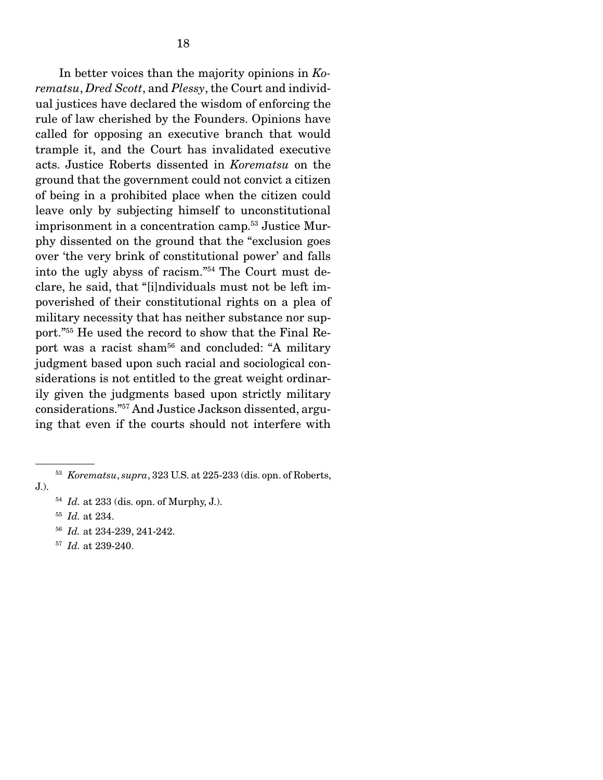In better voices than the majority opinions in *Korematsu*, *Dred Scott*, and *Plessy*, the Court and individual justices have declared the wisdom of enforcing the rule of law cherished by the Founders. Opinions have called for opposing an executive branch that would trample it, and the Court has invalidated executive acts. Justice Roberts dissented in *Korematsu* on the ground that the government could not convict a citizen of being in a prohibited place when the citizen could leave only by subjecting himself to unconstitutional imprisonment in a concentration camp.53 Justice Murphy dissented on the ground that the "exclusion goes over 'the very brink of constitutional power' and falls into the ugly abyss of racism."54 The Court must declare, he said, that "[i]ndividuals must not be left impoverished of their constitutional rights on a plea of military necessity that has neither substance nor support."55 He used the record to show that the Final Report was a racist sham<sup>56</sup> and concluded: "A military judgment based upon such racial and sociological considerations is not entitled to the great weight ordinarily given the judgments based upon strictly military considerations."57 And Justice Jackson dissented, arguing that even if the courts should not interfere with

- <sup>54</sup> *Id.* at 233 (dis. opn. of Murphy, J.).
- <sup>55</sup> *Id.* at 234.
- <sup>56</sup> *Id.* at 234-239, 241-242.
- <sup>57</sup> *Id.* at 239-240.

<sup>53</sup> *Korematsu*, *supra*, 323 U.S. at 225-233 (dis. opn. of Roberts, J.).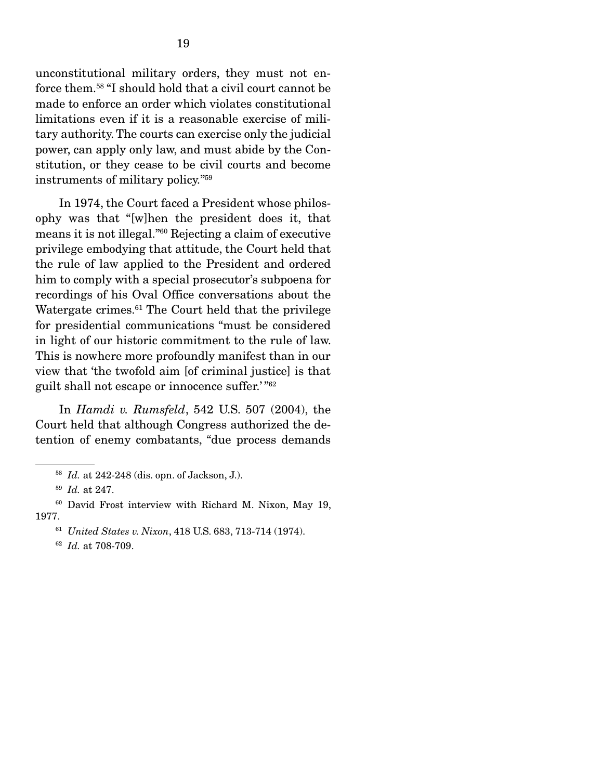unconstitutional military orders, they must not enforce them.58 "I should hold that a civil court cannot be made to enforce an order which violates constitutional limitations even if it is a reasonable exercise of military authority. The courts can exercise only the judicial power, can apply only law, and must abide by the Constitution, or they cease to be civil courts and become instruments of military policy."59

 In 1974, the Court faced a President whose philosophy was that "[w]hen the president does it, that means it is not illegal."60 Rejecting a claim of executive privilege embodying that attitude, the Court held that the rule of law applied to the President and ordered him to comply with a special prosecutor's subpoena for recordings of his Oval Office conversations about the Watergate crimes.<sup>61</sup> The Court held that the privilege for presidential communications "must be considered in light of our historic commitment to the rule of law. This is nowhere more profoundly manifest than in our view that 'the twofold aim [of criminal justice] is that guilt shall not escape or innocence suffer.' "62

 In *Hamdi v. Rumsfeld*, 542 U.S. 507 (2004), the Court held that although Congress authorized the detention of enemy combatants, "due process demands

<sup>58</sup> *Id.* at 242-248 (dis. opn. of Jackson, J.).

<sup>59</sup> *Id.* at 247.

<sup>60</sup> David Frost interview with Richard M. Nixon, May 19, 1977.

<sup>61</sup> *United States v. Nixon*, 418 U.S. 683, 713-714 (1974).

<sup>62</sup> *Id.* at 708-709.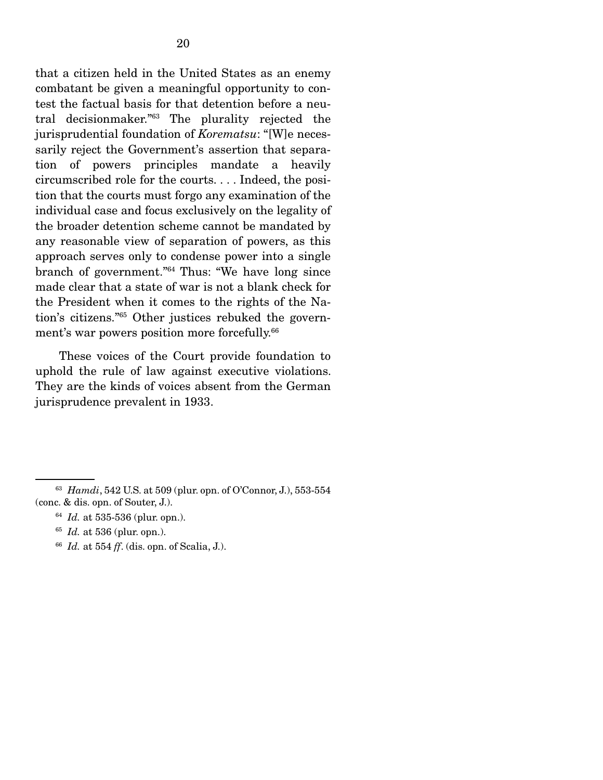that a citizen held in the United States as an enemy combatant be given a meaningful opportunity to contest the factual basis for that detention before a neutral decisionmaker."63 The plurality rejected the jurisprudential foundation of *Korematsu*: "[W]e necessarily reject the Government's assertion that separation of powers principles mandate a heavily circumscribed role for the courts. . . . Indeed, the position that the courts must forgo any examination of the individual case and focus exclusively on the legality of the broader detention scheme cannot be mandated by any reasonable view of separation of powers, as this approach serves only to condense power into a single branch of government."64 Thus: "We have long since made clear that a state of war is not a blank check for the President when it comes to the rights of the Nation's citizens."65 Other justices rebuked the government's war powers position more forcefully.<sup>66</sup>

 These voices of the Court provide foundation to uphold the rule of law against executive violations. They are the kinds of voices absent from the German jurisprudence prevalent in 1933.

<sup>64</sup> *Id.* at 535-536 (plur. opn.).

<sup>66</sup> *Id.* at 554 *ff*. (dis. opn. of Scalia, J.).

<sup>63</sup> *Hamdi*, 542 U.S. at 509 (plur. opn. of O'Connor, J.), 553-554 (conc. & dis. opn. of Souter, J.).

<sup>65</sup> *Id.* at 536 (plur. opn.).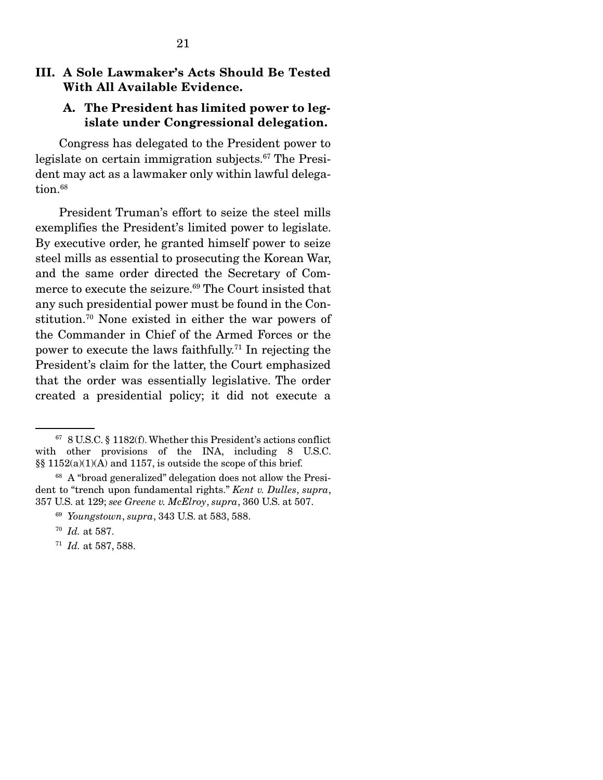## III. A Sole Lawmaker's Acts Should Be Tested With All Available Evidence.

### A. The President has limited power to legislate under Congressional delegation.

 Congress has delegated to the President power to legislate on certain immigration subjects.67 The President may act as a lawmaker only within lawful delegation.<sup>68</sup>

 President Truman's effort to seize the steel mills exemplifies the President's limited power to legislate. By executive order, he granted himself power to seize steel mills as essential to prosecuting the Korean War, and the same order directed the Secretary of Commerce to execute the seizure.<sup>69</sup> The Court insisted that any such presidential power must be found in the Constitution.70 None existed in either the war powers of the Commander in Chief of the Armed Forces or the power to execute the laws faithfully.71 In rejecting the President's claim for the latter, the Court emphasized that the order was essentially legislative. The order created a presidential policy; it did not execute a

<sup>71</sup> *Id.* at 587, 588.

<sup>67 8</sup> U.S.C. § 1182(f). Whether this President's actions conflict with other provisions of the INA, including 8 U.S.C. §§ 1152(a)(1)(A) and 1157, is outside the scope of this brief.

<sup>68</sup> A "broad generalized" delegation does not allow the President to "trench upon fundamental rights." *Kent v. Dulles*, *supra*, 357 U.S. at 129; *see Greene v. McElroy*, *supra*, 360 U.S. at 507.

<sup>69</sup> *Youngstown*, *supra*, 343 U.S. at 583, 588.

<sup>70</sup> *Id.* at 587.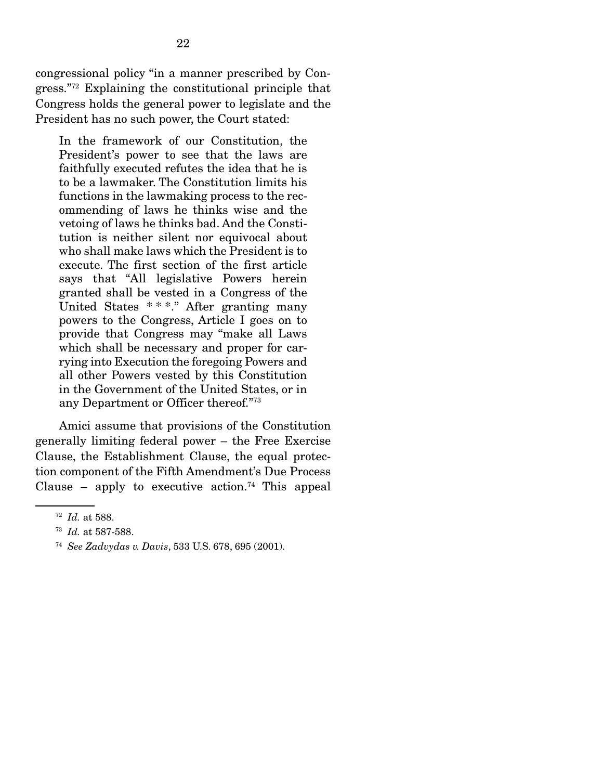congressional policy "in a manner prescribed by Congress."72 Explaining the constitutional principle that Congress holds the general power to legislate and the President has no such power, the Court stated:

In the framework of our Constitution, the President's power to see that the laws are faithfully executed refutes the idea that he is to be a lawmaker. The Constitution limits his functions in the lawmaking process to the recommending of laws he thinks wise and the vetoing of laws he thinks bad. And the Constitution is neither silent nor equivocal about who shall make laws which the President is to execute. The first section of the first article says that "All legislative Powers herein granted shall be vested in a Congress of the United States \* \* \*." After granting many powers to the Congress, Article I goes on to provide that Congress may "make all Laws which shall be necessary and proper for carrying into Execution the foregoing Powers and all other Powers vested by this Constitution in the Government of the United States, or in any Department or Officer thereof."73

 Amici assume that provisions of the Constitution generally limiting federal power – the Free Exercise Clause, the Establishment Clause, the equal protection component of the Fifth Amendment's Due Process Clause – apply to executive action.<sup>74</sup> This appeal

<sup>72</sup> *Id.* at 588.

<sup>73</sup> *Id.* at 587-588.

<sup>74</sup> *See Zadvydas v. Davis*, 533 U.S. 678, 695 (2001).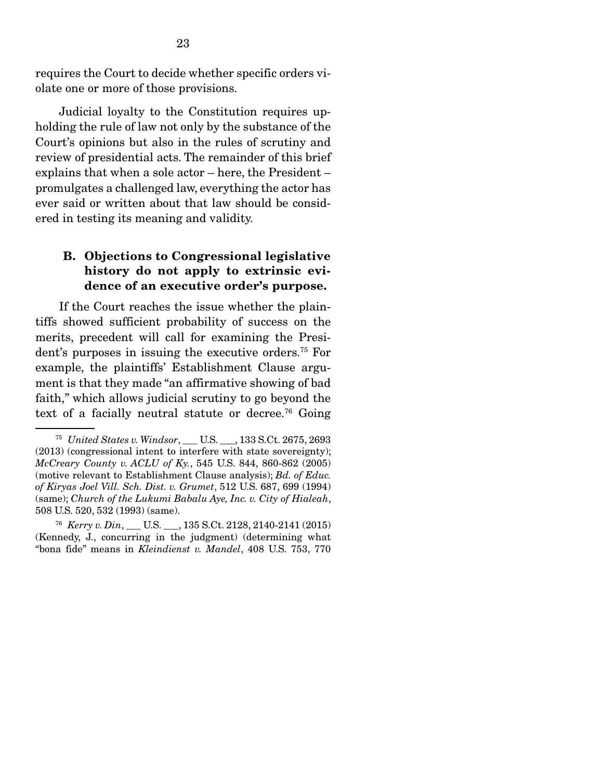requires the Court to decide whether specific orders violate one or more of those provisions.

 Judicial loyalty to the Constitution requires upholding the rule of law not only by the substance of the Court's opinions but also in the rules of scrutiny and review of presidential acts. The remainder of this brief explains that when a sole actor – here, the President – promulgates a challenged law, everything the actor has ever said or written about that law should be considered in testing its meaning and validity.

## B. Objections to Congressional legislative history do not apply to extrinsic evidence of an executive order's purpose.

 If the Court reaches the issue whether the plaintiffs showed sufficient probability of success on the merits, precedent will call for examining the President's purposes in issuing the executive orders.75 For example, the plaintiffs' Establishment Clause argument is that they made "an affirmative showing of bad faith," which allows judicial scrutiny to go beyond the text of a facially neutral statute or decree.<sup>76</sup> Going

<sup>75</sup> *United States v. Windsor*, \_\_\_ U.S. \_\_\_, 133 S.Ct. 2675, 2693 (2013) (congressional intent to interfere with state sovereignty); *McCreary County v. ACLU of Ky.*, 545 U.S. 844, 860-862 (2005) (motive relevant to Establishment Clause analysis); *Bd. of Educ. of Kiryas Joel Vill. Sch. Dist. v. Grumet*, 512 U.S. 687, 699 (1994) (same); *Church of the Lukumi Babalu Aye, Inc. v. City of Hialeah*, 508 U.S. 520, 532 (1993) (same).

<sup>76</sup> *Kerry v. Din*, \_\_\_ U.S. \_\_\_, 135 S.Ct. 2128, 2140-2141 (2015) (Kennedy, J., concurring in the judgment) (determining what "bona fide" means in *Kleindienst v. Mandel*, 408 U.S. 753, 770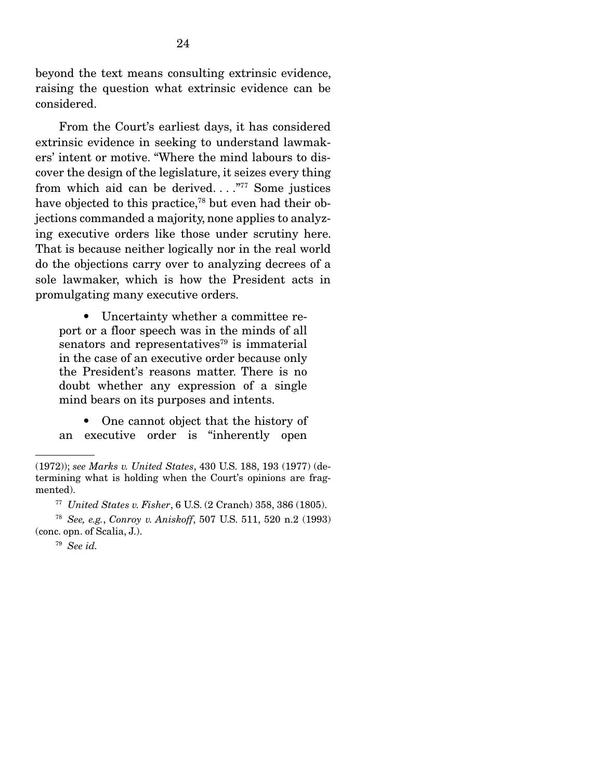beyond the text means consulting extrinsic evidence, raising the question what extrinsic evidence can be considered.

 From the Court's earliest days, it has considered extrinsic evidence in seeking to understand lawmakers' intent or motive. "Where the mind labours to discover the design of the legislature, it seizes every thing from which aid can be derived...."<sup>77</sup> Some justices have objected to this practice,<sup>78</sup> but even had their objections commanded a majority, none applies to analyzing executive orders like those under scrutiny here. That is because neither logically nor in the real world do the objections carry over to analyzing decrees of a sole lawmaker, which is how the President acts in promulgating many executive orders.

 • Uncertainty whether a committee report or a floor speech was in the minds of all senators and representatives $79$  is immaterial in the case of an executive order because only the President's reasons matter. There is no doubt whether any expression of a single mind bears on its purposes and intents.

 • One cannot object that the history of an executive order is "inherently open

<sup>(1972));</sup> *see Marks v. United States*, 430 U.S. 188, 193 (1977) (determining what is holding when the Court's opinions are fragmented).

<sup>77</sup> *United States v. Fisher*, 6 U.S. (2 Cranch) 358, 386 (1805).

<sup>78</sup> *See, e.g.*, *Conroy v. Aniskoff*, 507 U.S. 511, 520 n.2 (1993) (conc. opn. of Scalia, J.).

<sup>79</sup> *See id.*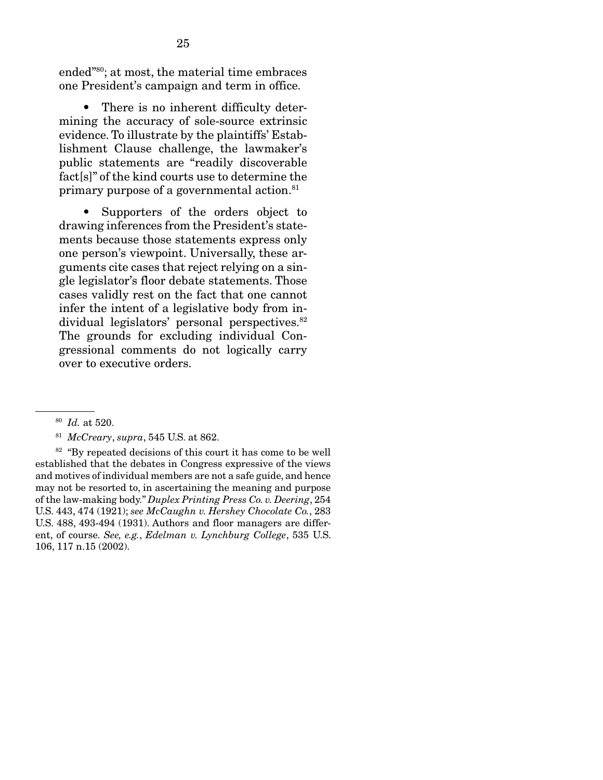ended"80; at most, the material time embraces one President's campaign and term in office.

 • There is no inherent difficulty determining the accuracy of sole-source extrinsic evidence. To illustrate by the plaintiffs' Establishment Clause challenge, the lawmaker's public statements are "readily discoverable fact[s]" of the kind courts use to determine the primary purpose of a governmental action.<sup>81</sup>

 • Supporters of the orders object to drawing inferences from the President's statements because those statements express only one person's viewpoint. Universally, these arguments cite cases that reject relying on a single legislator's floor debate statements. Those cases validly rest on the fact that one cannot infer the intent of a legislative body from individual legislators' personal perspectives.<sup>82</sup> The grounds for excluding individual Congressional comments do not logically carry over to executive orders.

<sup>80</sup> *Id.* at 520.

<sup>81</sup> *McCreary*, *supra*, 545 U.S. at 862.

 $82$  "By repeated decisions of this court it has come to be well established that the debates in Congress expressive of the views and motives of individual members are not a safe guide, and hence may not be resorted to, in ascertaining the meaning and purpose of the law-making body." *Duplex Printing Press Co. v. Deering*, 254 U.S. 443, 474 (1921); *see McCaughn v. Hershey Chocolate Co.*, 283 U.S. 488, 493-494 (1931). Authors and floor managers are different, of course. *See, e.g.*, *Edelman v. Lynchburg College*, 535 U.S. 106, 117 n.15 (2002).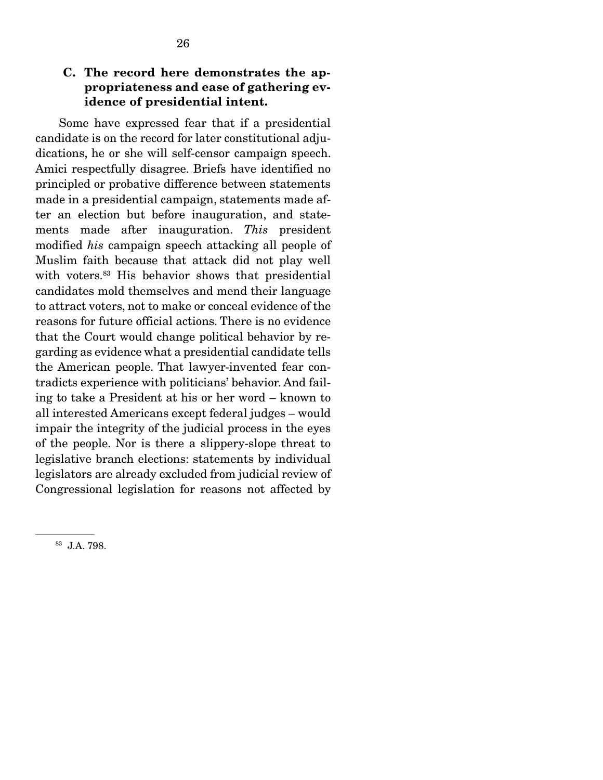## C. The record here demonstrates the appropriateness and ease of gathering evidence of presidential intent.

 Some have expressed fear that if a presidential candidate is on the record for later constitutional adjudications, he or she will self-censor campaign speech. Amici respectfully disagree. Briefs have identified no principled or probative difference between statements made in a presidential campaign, statements made after an election but before inauguration, and statements made after inauguration. *This* president modified *his* campaign speech attacking all people of Muslim faith because that attack did not play well with voters.<sup>83</sup> His behavior shows that presidential candidates mold themselves and mend their language to attract voters, not to make or conceal evidence of the reasons for future official actions. There is no evidence that the Court would change political behavior by regarding as evidence what a presidential candidate tells the American people. That lawyer-invented fear contradicts experience with politicians' behavior. And failing to take a President at his or her word – known to all interested Americans except federal judges – would impair the integrity of the judicial process in the eyes of the people. Nor is there a slippery-slope threat to legislative branch elections: statements by individual legislators are already excluded from judicial review of Congressional legislation for reasons not affected by

<sup>83</sup> J.A. 798.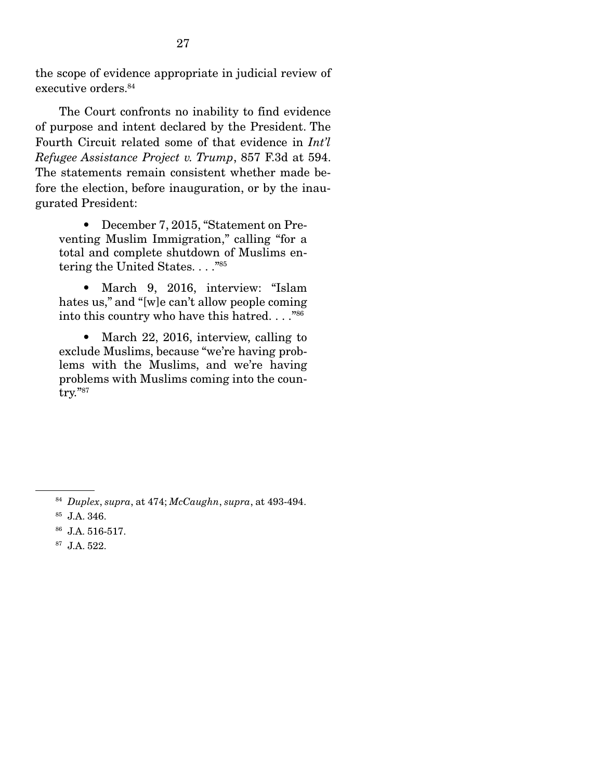the scope of evidence appropriate in judicial review of executive orders.84

 The Court confronts no inability to find evidence of purpose and intent declared by the President. The Fourth Circuit related some of that evidence in *Int'l Refugee Assistance Project v. Trump*, 857 F.3d at 594. The statements remain consistent whether made before the election, before inauguration, or by the inaugurated President:

 • December 7, 2015, "Statement on Preventing Muslim Immigration," calling "for a total and complete shutdown of Muslims entering the United States. . . ."85

 • March 9, 2016, interview: "Islam hates us," and "[w]e can't allow people coming into this country who have this hatred. . . ."86

• March 22, 2016, interview, calling to exclude Muslims, because "we're having problems with the Muslims, and we're having problems with Muslims coming into the country."87

- 86 J.A. 516-517.
- 87 J.A. 522.

<sup>84</sup> *Duplex*, *supra*, at 474; *McCaughn*, *supra*, at 493-494.

<sup>85</sup> J.A. 346.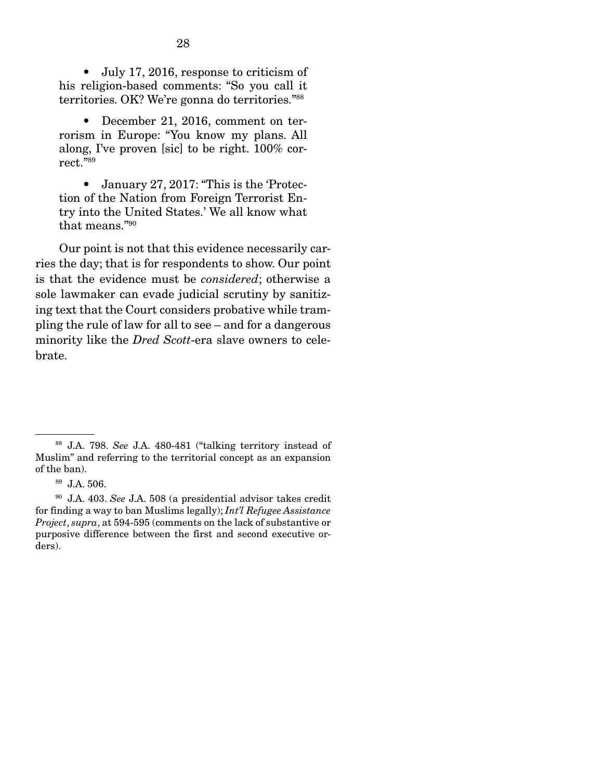• July 17, 2016, response to criticism of his religion-based comments: "So you call it territories. OK? We're gonna do territories."88

 • December 21, 2016, comment on terrorism in Europe: "You know my plans. All along, I've proven [sic] to be right. 100% correct."89

 • January 27, 2017: "This is the 'Protection of the Nation from Foreign Terrorist Entry into the United States.' We all know what that means."90

 Our point is not that this evidence necessarily carries the day; that is for respondents to show. Our point is that the evidence must be *considered*; otherwise a sole lawmaker can evade judicial scrutiny by sanitizing text that the Court considers probative while trampling the rule of law for all to see – and for a dangerous minority like the *Dred Scott*-era slave owners to celebrate.

<sup>88</sup> J.A. 798. *See* J.A. 480-481 ("talking territory instead of Muslim" and referring to the territorial concept as an expansion of the ban).

<sup>89</sup> J.A. 506.

<sup>90</sup> J.A. 403. *See* J.A. 508 (a presidential advisor takes credit for finding a way to ban Muslims legally); *Int'l Refugee Assistance Project*, *supra*, at 594-595 (comments on the lack of substantive or purposive difference between the first and second executive orders).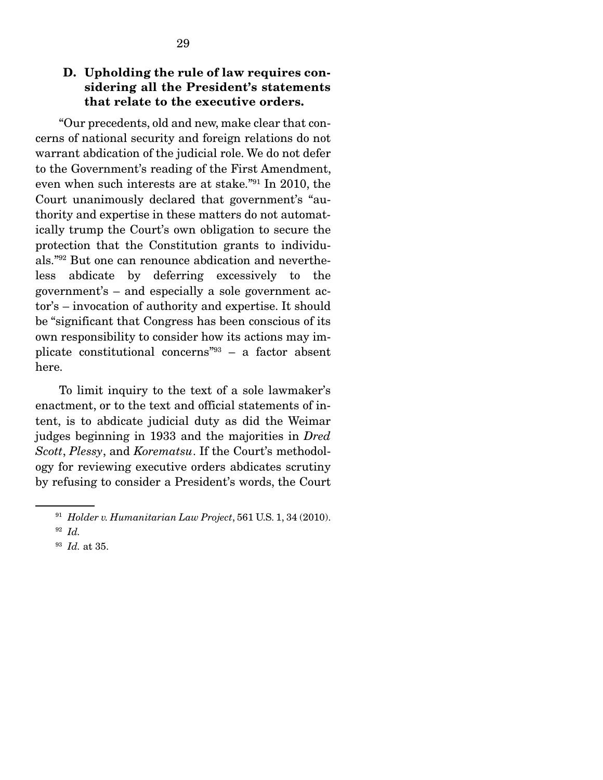### D. Upholding the rule of law requires considering all the President's statements that relate to the executive orders.

 "Our precedents, old and new, make clear that concerns of national security and foreign relations do not warrant abdication of the judicial role. We do not defer to the Government's reading of the First Amendment, even when such interests are at stake."91 In 2010, the Court unanimously declared that government's "authority and expertise in these matters do not automatically trump the Court's own obligation to secure the protection that the Constitution grants to individuals."92 But one can renounce abdication and nevertheless abdicate by deferring excessively to the government's – and especially a sole government actor's – invocation of authority and expertise. It should be "significant that Congress has been conscious of its own responsibility to consider how its actions may implicate constitutional concerns"93 – a factor absent here.

 To limit inquiry to the text of a sole lawmaker's enactment, or to the text and official statements of intent, is to abdicate judicial duty as did the Weimar judges beginning in 1933 and the majorities in *Dred Scott*, *Plessy*, and *Korematsu*. If the Court's methodology for reviewing executive orders abdicates scrutiny by refusing to consider a President's words, the Court

<sup>91</sup> *Holder v. Humanitarian Law Project*, 561 U.S. 1, 34 (2010).

<sup>92</sup> *Id.*

<sup>93</sup> *Id.* at 35.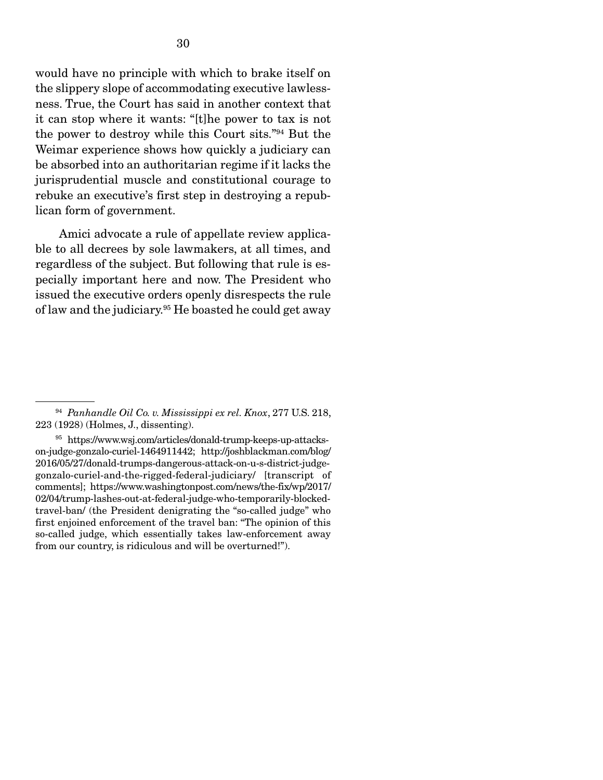would have no principle with which to brake itself on the slippery slope of accommodating executive lawlessness. True, the Court has said in another context that it can stop where it wants: "[t]he power to tax is not the power to destroy while this Court sits."94 But the Weimar experience shows how quickly a judiciary can be absorbed into an authoritarian regime if it lacks the jurisprudential muscle and constitutional courage to rebuke an executive's first step in destroying a republican form of government.

 Amici advocate a rule of appellate review applicable to all decrees by sole lawmakers, at all times, and regardless of the subject. But following that rule is especially important here and now. The President who issued the executive orders openly disrespects the rule of law and the judiciary.95 He boasted he could get away

<sup>94</sup> *Panhandle Oil Co. v. Mississippi ex rel. Knox*, 277 U.S. 218, 223 (1928) (Holmes, J., dissenting).

<sup>95</sup> https://www.wsj.com/articles/donald-trump-keeps-up-attackson-judge-gonzalo-curiel-1464911442; http://joshblackman.com/blog/ 2016/05/27/donald-trumps-dangerous-attack-on-u-s-district-judgegonzalo-curiel-and-the-rigged-federal-judiciary/ [transcript of comments]; https://www.washingtonpost.com/news/the-fix/wp/2017/ 02/04/trump-lashes-out-at-federal-judge-who-temporarily-blockedtravel-ban/ (the President denigrating the "so-called judge" who first enjoined enforcement of the travel ban: "The opinion of this so-called judge, which essentially takes law-enforcement away from our country, is ridiculous and will be overturned!").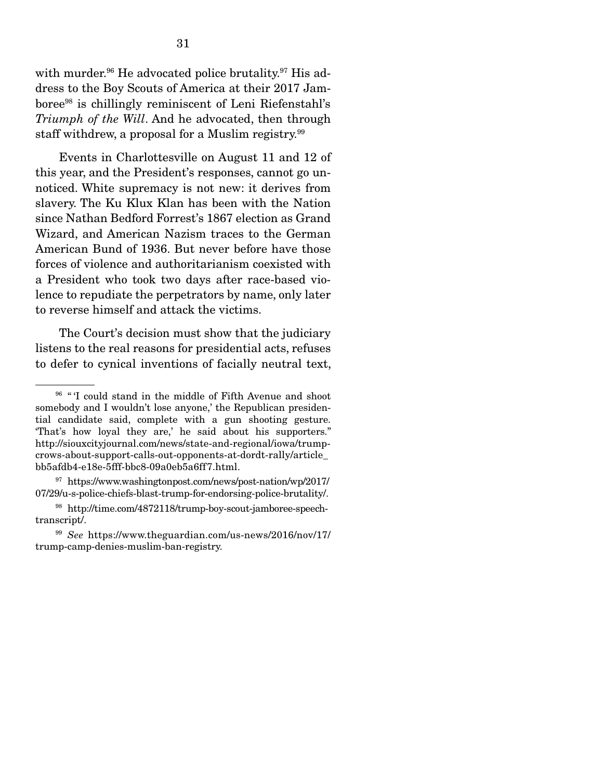with murder.<sup>96</sup> He advocated police brutality.<sup>97</sup> His address to the Boy Scouts of America at their 2017 Jamboree98 is chillingly reminiscent of Leni Riefenstahl's *Triumph of the Will*. And he advocated, then through staff withdrew, a proposal for a Muslim registry.<sup>99</sup>

 Events in Charlottesville on August 11 and 12 of this year, and the President's responses, cannot go unnoticed. White supremacy is not new: it derives from slavery. The Ku Klux Klan has been with the Nation since Nathan Bedford Forrest's 1867 election as Grand Wizard, and American Nazism traces to the German American Bund of 1936. But never before have those forces of violence and authoritarianism coexisted with a President who took two days after race-based violence to repudiate the perpetrators by name, only later to reverse himself and attack the victims.

 The Court's decision must show that the judiciary listens to the real reasons for presidential acts, refuses to defer to cynical inventions of facially neutral text,

<sup>&</sup>lt;sup>96</sup> "<sup>I</sup> could stand in the middle of Fifth Avenue and shoot somebody and I wouldn't lose anyone,' the Republican presidential candidate said, complete with a gun shooting gesture. 'That's how loyal they are,' he said about his supporters." http://siouxcityjournal.com/news/state-and-regional/iowa/trumpcrows-about-support-calls-out-opponents-at-dordt-rally/article\_ bb5afdb4-e18e-5fff-bbc8-09a0eb5a6ff7.html.

 $97$  https://www.washingtonpost.com/news/post-nation/wp/2017/ 07/29/u-s-police-chiefs-blast-trump-for-endorsing-police-brutality/.

<sup>98</sup> http://time.com/4872118/trump-boy-scout-jamboree-speechtranscript/.

<sup>99</sup> *See* https://www.theguardian.com/us-news/2016/nov/17/ trump-camp-denies-muslim-ban-registry.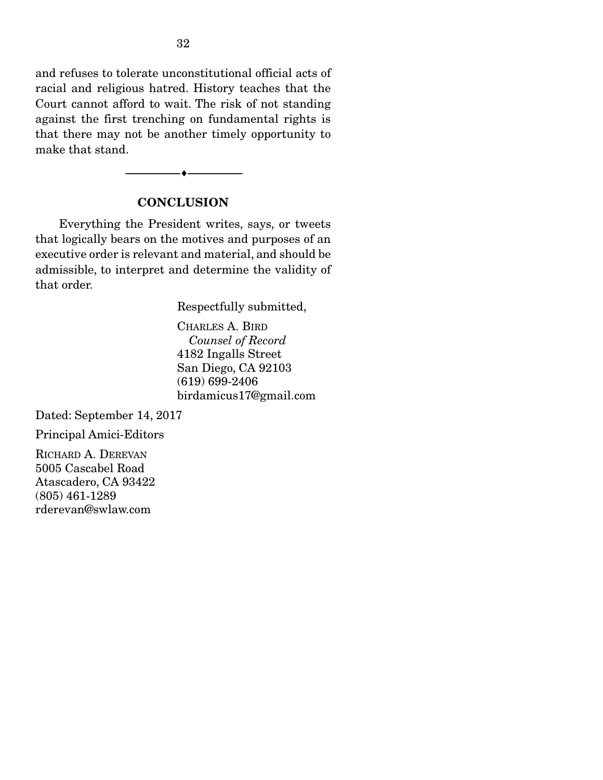and refuses to tolerate unconstitutional official acts of racial and religious hatred. History teaches that the Court cannot afford to wait. The risk of not standing against the first trenching on fundamental rights is that there may not be another timely opportunity to make that stand.

#### **CONCLUSION**

--------------------------------- ---------------------------------

 Everything the President writes, says, or tweets that logically bears on the motives and purposes of an executive order is relevant and material, and should be admissible, to interpret and determine the validity of that order.

Respectfully submitted,

CHARLES A. BIRD  *Counsel of Record*  4182 Ingalls Street San Diego, CA 92103 (619) 699-2406 birdamicus17@gmail.com

Dated: September 14, 2017

Principal Amici-Editors

RICHARD A. DEREVAN 5005 Cascabel Road Atascadero, CA 93422 (805) 461-1289 rderevan@swlaw.com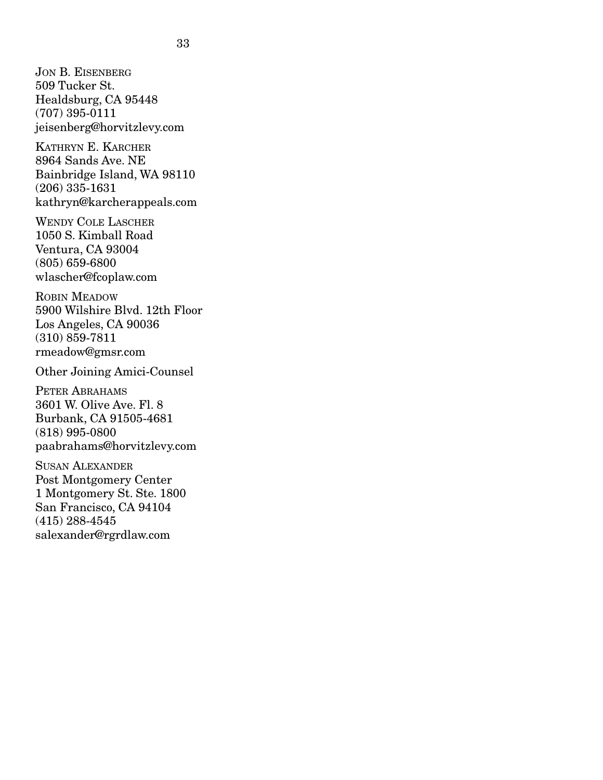JON B. EISENBERG 509 Tucker St. Healdsburg, CA 95448 (707) 395-0111 jeisenberg@horvitzlevy.com

KATHRYN E. KARCHER 8964 Sands Ave. NE Bainbridge Island, WA 98110 (206) 335-1631 kathryn@karcherappeals.com

WENDY COLE LASCHER 1050 S. Kimball Road Ventura, CA 93004 (805) 659-6800 wlascher@fcoplaw.com

ROBIN MEADOW 5900 Wilshire Blvd. 12th Floor Los Angeles, CA 90036 (310) 859-7811 rmeadow@gmsr.com

Other Joining Amici-Counsel

PETER ABRAHAMS 3601 W. Olive Ave. Fl. 8 Burbank, CA 91505-4681 (818) 995-0800 paabrahams@horvitzlevy.com

SUSAN ALEXANDER Post Montgomery Center 1 Montgomery St. Ste. 1800 San Francisco, CA 94104 (415) 288-4545 salexander@rgrdlaw.com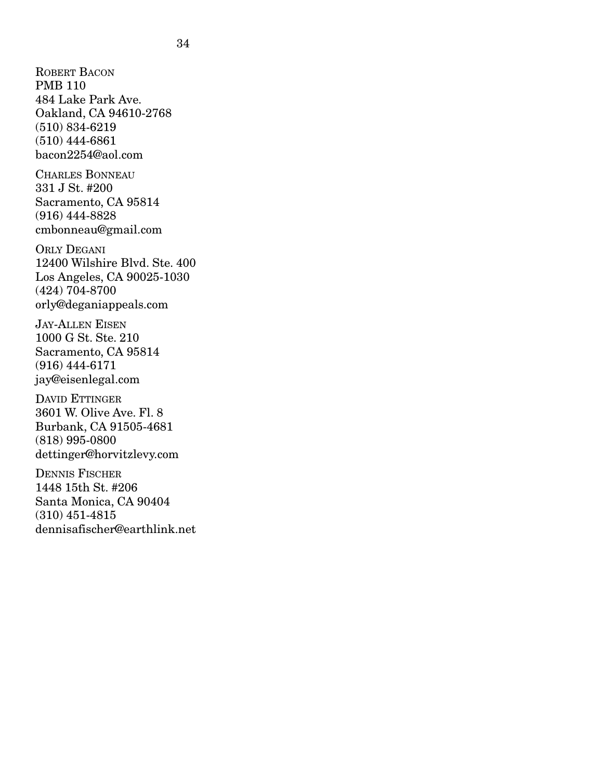ROBERT BACON PMB 110 484 Lake Park Ave. Oakland, CA 94610-2768 (510) 834-6219 (510) 444-6861 bacon2254@aol.com CHARLES BONNEAU 331 J St. #200 Sacramento, CA 95814 (916) 444-8828 cmbonneau@gmail.com ORLY DEGANI 12400 Wilshire Blvd. Ste. 400 Los Angeles, CA 90025-1030 (424) 704-8700 orly@deganiappeals.com JAY-ALLEN EISEN 1000 G St. Ste. 210 Sacramento, CA 95814 (916) 444-6171 jay@eisenlegal.com DAVID ETTINGER 3601 W. Olive Ave. Fl. 8 Burbank, CA 91505-4681 (818) 995-0800 dettinger@horvitzlevy.com DENNIS FISCHER 1448 15th St. #206 Santa Monica, CA 90404 (310) 451-4815 dennisafischer@earthlink.net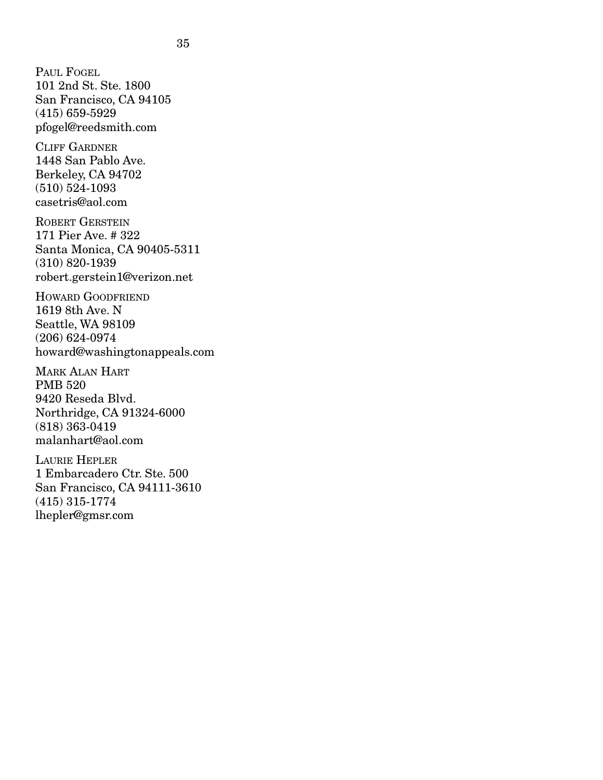PAUL FOGEL 101 2nd St. Ste. 1800 San Francisco, CA 94105 (415) 659-5929 pfogel@reedsmith.com CLIFF GARDNER

1448 San Pablo Ave. Berkeley, CA 94702 (510) 524-1093 casetris@aol.com

ROBERT GERSTEIN 171 Pier Ave. # 322 Santa Monica, CA 90405-5311 (310) 820-1939 robert.gerstein1@verizon.net

HOWARD GOODFRIEND 1619 8th Ave. N Seattle, WA 98109 (206) 624-0974 howard@washingtonappeals.com

MARK ALAN HART PMB 520 9420 Reseda Blvd. Northridge, CA 91324-6000 (818) 363-0419 malanhart@aol.com

LAURIE HEPLER 1 Embarcadero Ctr. Ste. 500 San Francisco, CA 94111-3610 (415) 315-1774 lhepler@gmsr.com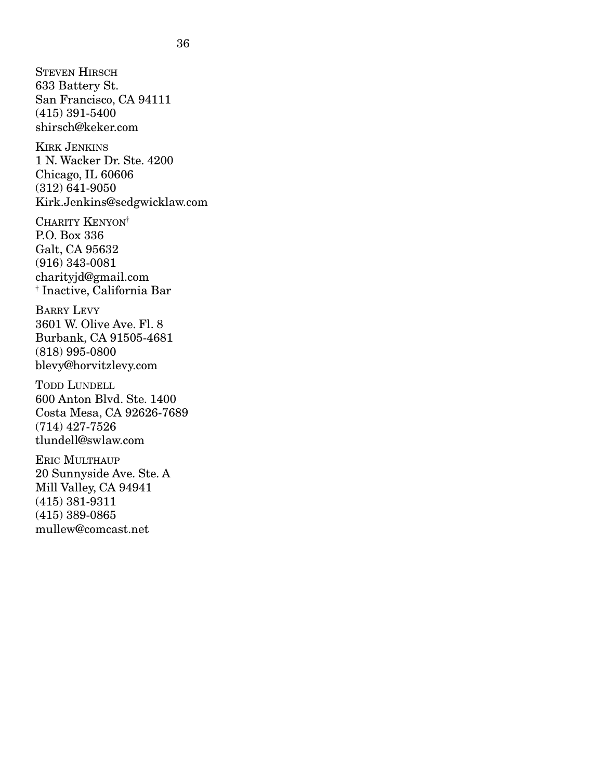STEVEN HIRSCH 633 Battery St. San Francisco, CA 94111 (415) 391-5400 shirsch@keker.com KIRK JENKINS 1 N. Wacker Dr. Ste. 4200 Chicago, IL 60606 (312) 641-9050 Kirk.Jenkins@sedgwicklaw.com CHARITY KENYON† P.O. Box 336 Galt, CA 95632 (916) 343-0081 charityjd@gmail.com † Inactive, California Bar BARRY LEVY 3601 W. Olive Ave. Fl. 8 Burbank, CA 91505-4681 (818) 995-0800 blevy@horvitzlevy.com TODD LUNDELL 600 Anton Blvd. Ste. 1400 Costa Mesa, CA 92626-7689 (714) 427-7526 tlundell@swlaw.com ERIC MULTHAUP 20 Sunnyside Ave. Ste. A Mill Valley, CA 94941 (415) 381-9311 (415) 389-0865 mullew@comcast.net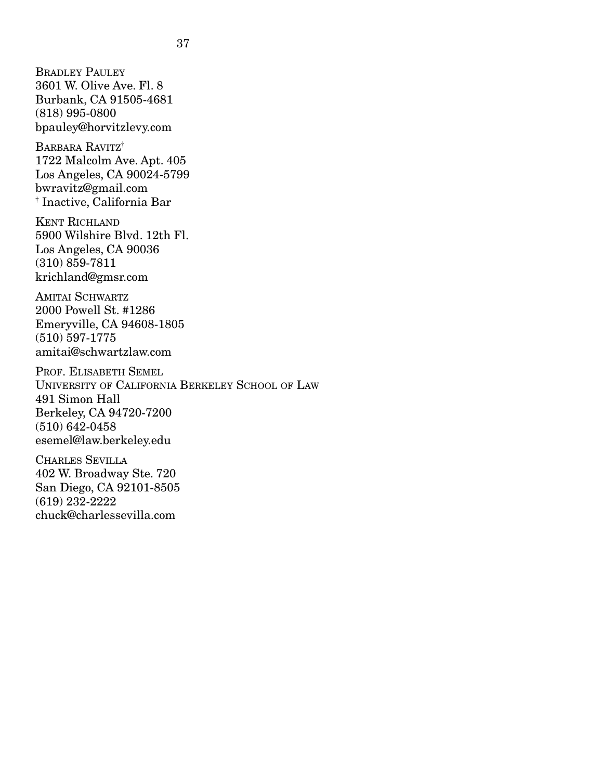BRADLEY PAULEY 3601 W. Olive Ave. Fl. 8 Burbank, CA 91505-4681 (818) 995-0800 bpauley@horvitzlevy.com

BARBARA RAVITZ<sup>†</sup> 1722 Malcolm Ave. Apt. 405 Los Angeles, CA 90024-5799 bwravitz@gmail.com † Inactive, California Bar

KENT RICHLAND 5900 Wilshire Blvd. 12th Fl. Los Angeles, CA 90036 (310) 859-7811 krichland@gmsr.com

AMITAI SCHWARTZ 2000 Powell St. #1286 Emeryville, CA 94608-1805 (510) 597-1775 amitai@schwartzlaw.com

PROF. ELISABETH SEMEL UNIVERSITY OF CALIFORNIA BERKELEY SCHOOL OF LAW 491 Simon Hall Berkeley, CA 94720-7200 (510) 642-0458 esemel@law.berkeley.edu

CHARLES SEVILLA 402 W. Broadway Ste. 720 San Diego, CA 92101-8505 (619) 232-2222 chuck@charlessevilla.com